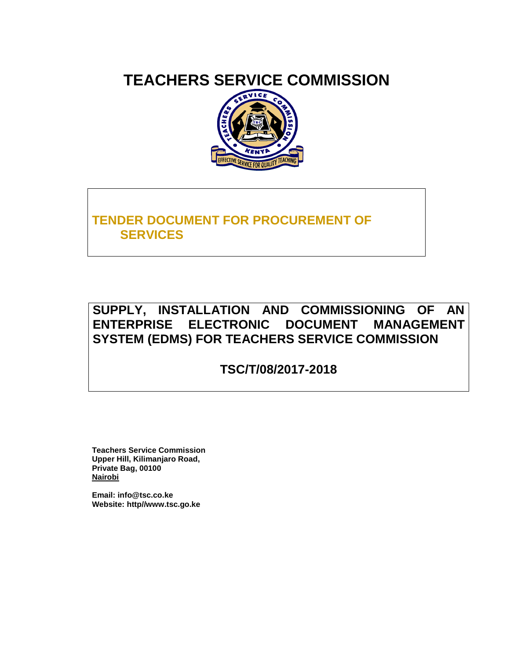# **TEACHERS SERVICE COMMISSION**



# **TENDER DOCUMENT FOR PROCUREMENT OF SERVICES**

# **SUPPLY, INSTALLATION AND COMMISSIONING OF AN ENTERPRISE ELECTRONIC DOCUMENT MANAGEMENT SYSTEM (EDMS) FOR TEACHERS SERVICE COMMISSION**

**TSC/T/08/2017-2018** 

**Teachers Service Commission Upper Hill, Kilimanjaro Road, Private Bag, 00100 Nairobi**

**Email: info@tsc.co.ke Website: http//www.tsc.go.ke**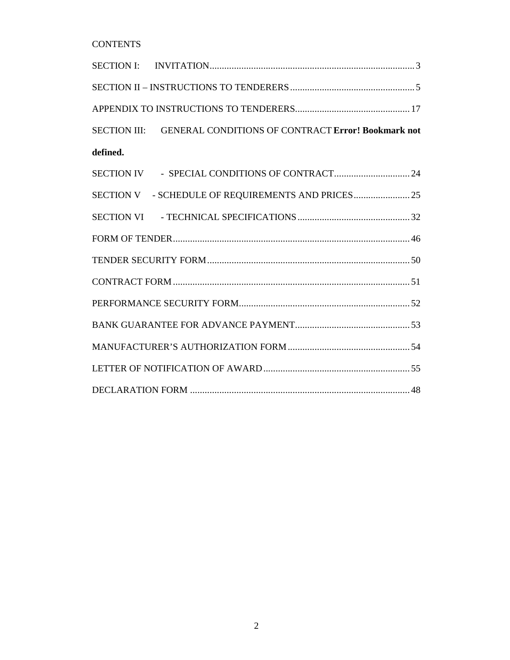**CONTENTS** 

|          | SECTION III: GENERAL CONDITIONS OF CONTRACT Error! Bookmark not |  |
|----------|-----------------------------------------------------------------|--|
| defined. |                                                                 |  |
|          |                                                                 |  |
|          |                                                                 |  |
|          |                                                                 |  |
|          |                                                                 |  |
|          |                                                                 |  |
|          |                                                                 |  |
|          |                                                                 |  |
|          |                                                                 |  |
|          |                                                                 |  |
|          |                                                                 |  |
|          |                                                                 |  |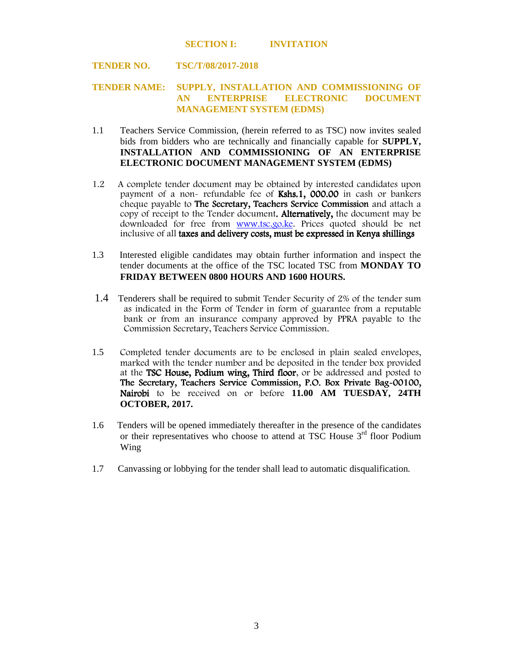#### **SECTION I: INVITATION**

#### **TENDER NO. TSC/T/08/2017-2018**

#### **TENDER NAME: SUPPLY, INSTALLATION AND COMMISSIONING OF AN ENTERPRISE ELECTRONIC DOCUMENT MANAGEMENT SYSTEM (EDMS)**

- 1.1 Teachers Service Commission, (herein referred to as TSC) now invites sealed bids from bidders who are technically and financially capable for **SUPPLY, INSTALLATION AND COMMISSIONING OF AN ENTERPRISE ELECTRONIC DOCUMENT MANAGEMENT SYSTEM (EDMS)**
- 1.2 A complete tender document may be obtained by interested candidates upon payment of a non- refundable fee of  $Kshs.1$ , 000.00 in cash or bankers cheque payable to The Secretary, Teachers Service Commission and attach a copy of receipt to the Tender document. Alternatively, the document may be downloaded for free from www.tsc.go.ke. Prices quoted should be net inclusive of all taxes and delivery costs, must be expressed in Kenya shillings
- 1.3 Interested eligible candidates may obtain further information and inspect the tender documents at the office of the TSC located TSC from **MONDAY TO FRIDAY BETWEEN 0800 HOURS AND 1600 HOURS.**
- 1.4 Tenderers shall be required to submit Tender Security of 2% of the tender sum as indicated in the Form of Tender in form of guarantee from a reputable bank or from an insurance company approved by PPRA payable to the Commission Secretary, Teachers Service Commission.
- 1.5 Completed tender documents are to be enclosed in plain sealed envelopes, marked with the tender number and be deposited in the tender box provided at the TSC House, Podium wing, Third floor, or be addressed and posted to The Secretary, Teachers Service Commission, P.O. Box Private Bag-00100, Nairobi to be received on or before 11.00 AM TUESDAY, 24TH **OCTOBER, 2017.**
- 1.6 Tenders will be opened immediately thereafter in the presence of the candidates or their representatives who choose to attend at TSC House  $3<sup>rd</sup>$  floor Podium Wing
- 1.7 Canvassing or lobbying for the tender shall lead to automatic disqualification.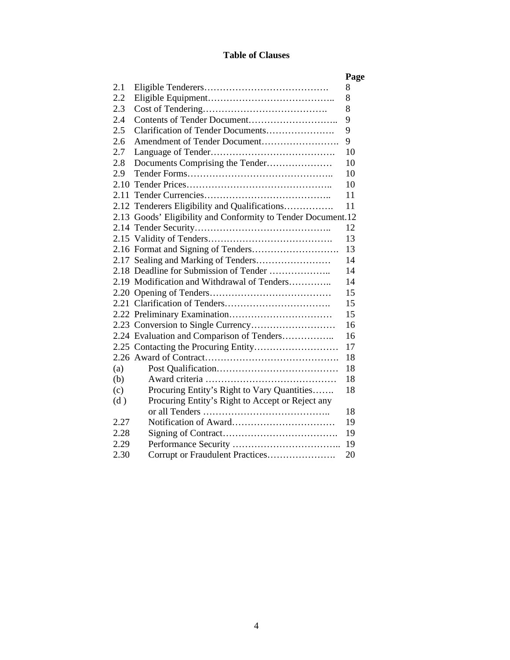## **Table of Clauses**

|      |                                                              | Page |
|------|--------------------------------------------------------------|------|
| 2.1  |                                                              | 8    |
| 2.2  |                                                              | 8    |
| 2.3  |                                                              | 8    |
| 2.4  |                                                              | 9    |
| 2.5  | Clarification of Tender Documents                            | 9    |
| 2.6  | Amendment of Tender Document                                 | 9    |
| 2.7  |                                                              | 10   |
| 2.8  |                                                              | 10   |
| 2.9  |                                                              | 10   |
|      |                                                              | 10   |
|      |                                                              | 11   |
|      | 2.12 Tenderers Eligibility and Qualifications                | 11   |
|      | 2.13 Goods' Eligibility and Conformity to Tender Document.12 |      |
|      |                                                              | 12   |
|      |                                                              | 13   |
|      |                                                              | 13   |
|      | 2.17 Sealing and Marking of Tenders                          | 14   |
|      |                                                              | 14   |
|      | 2.19 Modification and Withdrawal of Tenders                  | 14   |
|      |                                                              | 15   |
|      |                                                              | 15   |
|      |                                                              | 15   |
|      |                                                              | 16   |
|      | 2.24 Evaluation and Comparison of Tenders                    | 16   |
|      |                                                              | 17   |
|      |                                                              | 18   |
| (a)  |                                                              | 18   |
| (b)  |                                                              | 18   |
| (c)  | Procuring Entity's Right to Vary Quantities                  | 18   |
| (d)  | Procuring Entity's Right to Accept or Reject any             |      |
|      |                                                              | 18   |
| 2.27 |                                                              | 19   |
| 2.28 |                                                              | 19   |
| 2.29 |                                                              | 19   |
| 2.30 | Corrupt or Fraudulent Practices                              | 20   |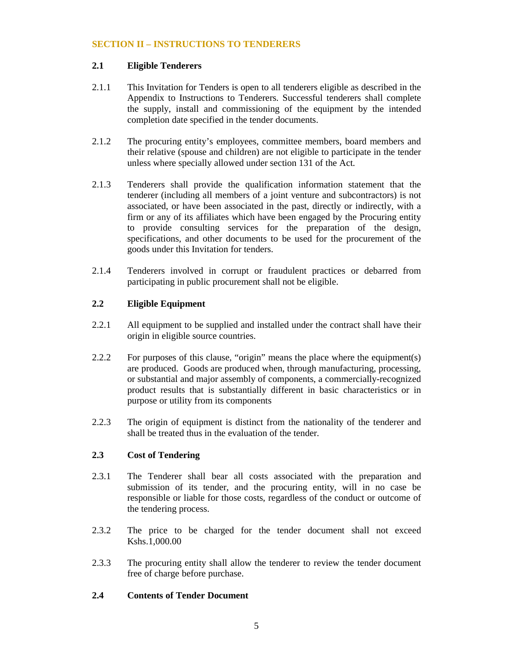#### **SECTION II – INSTRUCTIONS TO TENDERERS**

## **2.1 Eligible Tenderers**

- 2.1.1 This Invitation for Tenders is open to all tenderers eligible as described in the Appendix to Instructions to Tenderers. Successful tenderers shall complete the supply, install and commissioning of the equipment by the intended completion date specified in the tender documents.
- 2.1.2 The procuring entity's employees, committee members, board members and their relative (spouse and children) are not eligible to participate in the tender unless where specially allowed under section 131 of the Act.
- 2.1.3 Tenderers shall provide the qualification information statement that the tenderer (including all members of a joint venture and subcontractors) is not associated, or have been associated in the past, directly or indirectly, with a firm or any of its affiliates which have been engaged by the Procuring entity to provide consulting services for the preparation of the design, specifications, and other documents to be used for the procurement of the goods under this Invitation for tenders.
- 2.1.4 Tenderers involved in corrupt or fraudulent practices or debarred from participating in public procurement shall not be eligible.

## **2.2 Eligible Equipment**

- 2.2.1 All equipment to be supplied and installed under the contract shall have their origin in eligible source countries.
- 2.2.2 For purposes of this clause, "origin" means the place where the equipment(s) are produced. Goods are produced when, through manufacturing, processing, or substantial and major assembly of components, a commercially-recognized product results that is substantially different in basic characteristics or in purpose or utility from its components
- 2.2.3 The origin of equipment is distinct from the nationality of the tenderer and shall be treated thus in the evaluation of the tender.

#### **2.3 Cost of Tendering**

- 2.3.1 The Tenderer shall bear all costs associated with the preparation and submission of its tender, and the procuring entity, will in no case be responsible or liable for those costs, regardless of the conduct or outcome of the tendering process.
- 2.3.2 The price to be charged for the tender document shall not exceed Kshs.1,000.00
- 2.3.3 The procuring entity shall allow the tenderer to review the tender document free of charge before purchase.

## **2.4 Contents of Tender Document**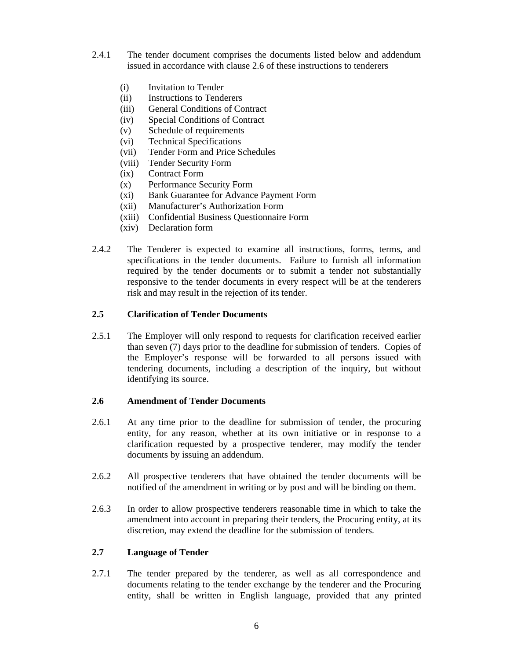- 2.4.1 The tender document comprises the documents listed below and addendum issued in accordance with clause 2.6 of these instructions to tenderers
	- (i) Invitation to Tender
	- (ii) Instructions to Tenderers
	- (iii) General Conditions of Contract
	- (iv) Special Conditions of Contract
	- (v) Schedule of requirements
	- (vi) Technical Specifications
	- (vii) Tender Form and Price Schedules
	- (viii) Tender Security Form
	- (ix) Contract Form
	- (x) Performance Security Form
	- (xi) Bank Guarantee for Advance Payment Form
	- (xii) Manufacturer's Authorization Form
	- (xiii) Confidential Business Questionnaire Form
	- (xiv) Declaration form
- 2.4.2 The Tenderer is expected to examine all instructions, forms, terms, and specifications in the tender documents. Failure to furnish all information required by the tender documents or to submit a tender not substantially responsive to the tender documents in every respect will be at the tenderers risk and may result in the rejection of its tender.

#### **2.5 Clarification of Tender Documents**

2.5.1 The Employer will only respond to requests for clarification received earlier than seven (7) days prior to the deadline for submission of tenders. Copies of the Employer's response will be forwarded to all persons issued with tendering documents, including a description of the inquiry, but without identifying its source.

#### **2.6 Amendment of Tender Documents**

- 2.6.1 At any time prior to the deadline for submission of tender, the procuring entity, for any reason, whether at its own initiative or in response to a clarification requested by a prospective tenderer, may modify the tender documents by issuing an addendum.
- 2.6.2 All prospective tenderers that have obtained the tender documents will be notified of the amendment in writing or by post and will be binding on them.
- 2.6.3 In order to allow prospective tenderers reasonable time in which to take the amendment into account in preparing their tenders, the Procuring entity, at its discretion, may extend the deadline for the submission of tenders.

#### **2.7 Language of Tender**

2.7.1 The tender prepared by the tenderer, as well as all correspondence and documents relating to the tender exchange by the tenderer and the Procuring entity, shall be written in English language, provided that any printed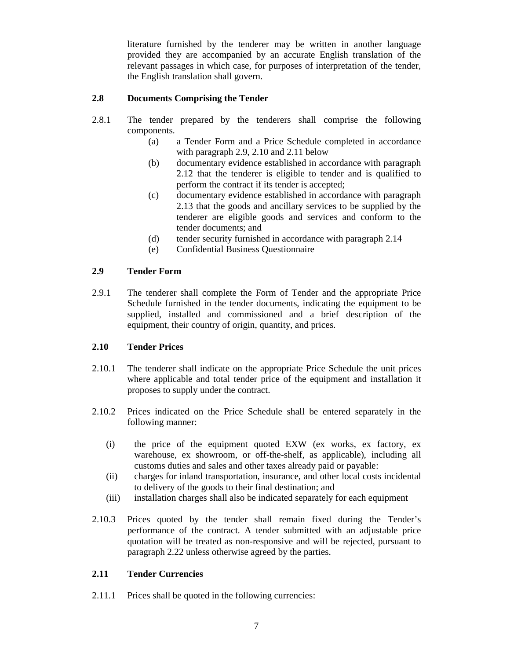literature furnished by the tenderer may be written in another language provided they are accompanied by an accurate English translation of the relevant passages in which case, for purposes of interpretation of the tender, the English translation shall govern.

## **2.8 Documents Comprising the Tender**

- 2.8.1 The tender prepared by the tenderers shall comprise the following components.
	- (a) a Tender Form and a Price Schedule completed in accordance with paragraph 2.9, 2.10 and 2.11 below
	- (b) documentary evidence established in accordance with paragraph 2.12 that the tenderer is eligible to tender and is qualified to perform the contract if its tender is accepted;
	- (c) documentary evidence established in accordance with paragraph 2.13 that the goods and ancillary services to be supplied by the tenderer are eligible goods and services and conform to the tender documents; and
	- (d) tender security furnished in accordance with paragraph 2.14
	- (e) Confidential Business Questionnaire

## **2.9 Tender Form**

2.9.1 The tenderer shall complete the Form of Tender and the appropriate Price Schedule furnished in the tender documents, indicating the equipment to be supplied, installed and commissioned and a brief description of the equipment, their country of origin, quantity, and prices.

#### **2.10 Tender Prices**

- 2.10.1 The tenderer shall indicate on the appropriate Price Schedule the unit prices where applicable and total tender price of the equipment and installation it proposes to supply under the contract.
- 2.10.2 Prices indicated on the Price Schedule shall be entered separately in the following manner:
	- (i) the price of the equipment quoted EXW (ex works, ex factory, ex warehouse, ex showroom, or off-the-shelf, as applicable), including all customs duties and sales and other taxes already paid or payable:
	- (ii) charges for inland transportation, insurance, and other local costs incidental to delivery of the goods to their final destination; and
	- (iii) installation charges shall also be indicated separately for each equipment
- 2.10.3 Prices quoted by the tender shall remain fixed during the Tender's performance of the contract. A tender submitted with an adjustable price quotation will be treated as non-responsive and will be rejected, pursuant to paragraph 2.22 unless otherwise agreed by the parties.

## **2.11 Tender Currencies**

2.11.1 Prices shall be quoted in the following currencies: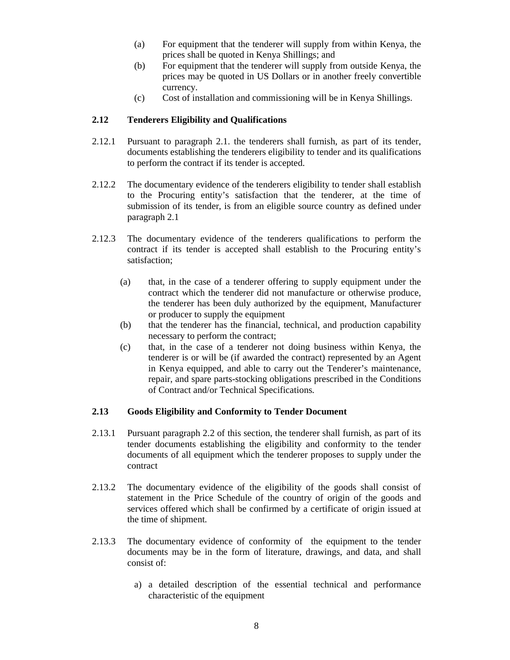- (a) For equipment that the tenderer will supply from within Kenya, the prices shall be quoted in Kenya Shillings; and
- (b) For equipment that the tenderer will supply from outside Kenya, the prices may be quoted in US Dollars or in another freely convertible currency.
- (c) Cost of installation and commissioning will be in Kenya Shillings.

### **2.12 Tenderers Eligibility and Qualifications**

- 2.12.1 Pursuant to paragraph 2.1. the tenderers shall furnish, as part of its tender, documents establishing the tenderers eligibility to tender and its qualifications to perform the contract if its tender is accepted.
- 2.12.2 The documentary evidence of the tenderers eligibility to tender shall establish to the Procuring entity's satisfaction that the tenderer, at the time of submission of its tender, is from an eligible source country as defined under paragraph 2.1
- 2.12.3 The documentary evidence of the tenderers qualifications to perform the contract if its tender is accepted shall establish to the Procuring entity's satisfaction;
	- (a) that, in the case of a tenderer offering to supply equipment under the contract which the tenderer did not manufacture or otherwise produce, the tenderer has been duly authorized by the equipment, Manufacturer or producer to supply the equipment
	- (b) that the tenderer has the financial, technical, and production capability necessary to perform the contract;
	- (c) that, in the case of a tenderer not doing business within Kenya, the tenderer is or will be (if awarded the contract) represented by an Agent in Kenya equipped, and able to carry out the Tenderer's maintenance, repair, and spare parts-stocking obligations prescribed in the Conditions of Contract and/or Technical Specifications.

#### **2.13 Goods Eligibility and Conformity to Tender Document**

- 2.13.1 Pursuant paragraph 2.2 of this section, the tenderer shall furnish, as part of its tender documents establishing the eligibility and conformity to the tender documents of all equipment which the tenderer proposes to supply under the contract
- 2.13.2 The documentary evidence of the eligibility of the goods shall consist of statement in the Price Schedule of the country of origin of the goods and services offered which shall be confirmed by a certificate of origin issued at the time of shipment.
- 2.13.3 The documentary evidence of conformity of the equipment to the tender documents may be in the form of literature, drawings, and data, and shall consist of:
	- a) a detailed description of the essential technical and performance characteristic of the equipment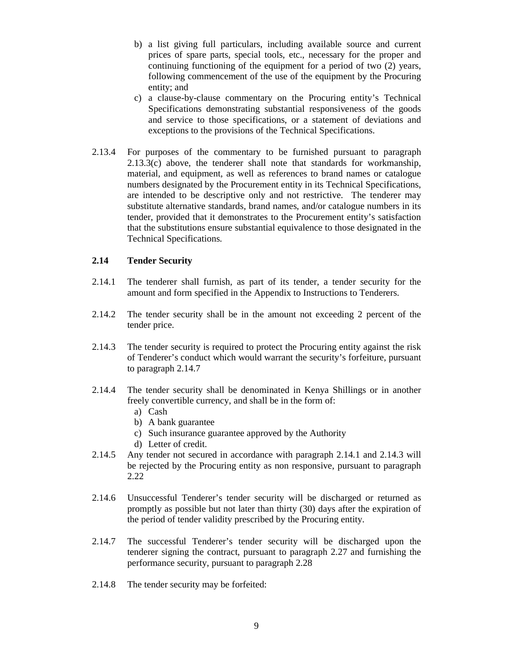- b) a list giving full particulars, including available source and current prices of spare parts, special tools, etc., necessary for the proper and continuing functioning of the equipment for a period of two (2) years, following commencement of the use of the equipment by the Procuring entity; and
- c) a clause-by-clause commentary on the Procuring entity's Technical Specifications demonstrating substantial responsiveness of the goods and service to those specifications, or a statement of deviations and exceptions to the provisions of the Technical Specifications.
- 2.13.4 For purposes of the commentary to be furnished pursuant to paragraph 2.13.3(c) above, the tenderer shall note that standards for workmanship, material, and equipment, as well as references to brand names or catalogue numbers designated by the Procurement entity in its Technical Specifications, are intended to be descriptive only and not restrictive. The tenderer may substitute alternative standards, brand names, and/or catalogue numbers in its tender, provided that it demonstrates to the Procurement entity's satisfaction that the substitutions ensure substantial equivalence to those designated in the Technical Specifications.

#### **2.14 Tender Security**

- 2.14.1 The tenderer shall furnish, as part of its tender, a tender security for the amount and form specified in the Appendix to Instructions to Tenderers.
- 2.14.2 The tender security shall be in the amount not exceeding 2 percent of the tender price.
- 2.14.3 The tender security is required to protect the Procuring entity against the risk of Tenderer's conduct which would warrant the security's forfeiture, pursuant to paragraph 2.14.7
- 2.14.4 The tender security shall be denominated in Kenya Shillings or in another freely convertible currency, and shall be in the form of:
	- a) Cash
	- b) A bank guarantee
	- c) Such insurance guarantee approved by the Authority
	- d) Letter of credit.
- 2.14.5 Any tender not secured in accordance with paragraph 2.14.1 and 2.14.3 will be rejected by the Procuring entity as non responsive, pursuant to paragraph 2.22
- 2.14.6 Unsuccessful Tenderer's tender security will be discharged or returned as promptly as possible but not later than thirty (30) days after the expiration of the period of tender validity prescribed by the Procuring entity.
- 2.14.7 The successful Tenderer's tender security will be discharged upon the tenderer signing the contract, pursuant to paragraph 2.27 and furnishing the performance security, pursuant to paragraph 2.28
- 2.14.8 The tender security may be forfeited: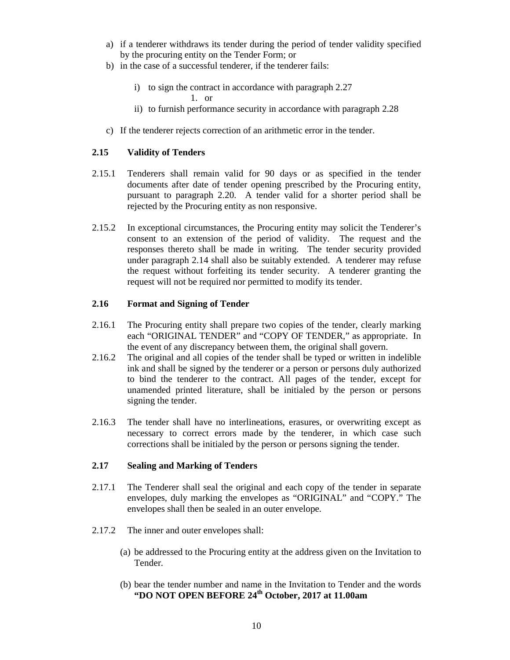- a) if a tenderer withdraws its tender during the period of tender validity specified by the procuring entity on the Tender Form; or
- b) in the case of a successful tenderer, if the tenderer fails:
	- i) to sign the contract in accordance with paragraph 2.27

1. or

- ii) to furnish performance security in accordance with paragraph 2.28
- c) If the tenderer rejects correction of an arithmetic error in the tender.

#### **2.15 Validity of Tenders**

- 2.15.1 Tenderers shall remain valid for 90 days or as specified in the tender documents after date of tender opening prescribed by the Procuring entity, pursuant to paragraph 2.20. A tender valid for a shorter period shall be rejected by the Procuring entity as non responsive.
- 2.15.2 In exceptional circumstances, the Procuring entity may solicit the Tenderer's consent to an extension of the period of validity. The request and the responses thereto shall be made in writing. The tender security provided under paragraph 2.14 shall also be suitably extended. A tenderer may refuse the request without forfeiting its tender security. A tenderer granting the request will not be required nor permitted to modify its tender.

#### **2.16 Format and Signing of Tender**

- 2.16.1 The Procuring entity shall prepare two copies of the tender, clearly marking each "ORIGINAL TENDER" and "COPY OF TENDER," as appropriate. In the event of any discrepancy between them, the original shall govern.
- 2.16.2 The original and all copies of the tender shall be typed or written in indelible ink and shall be signed by the tenderer or a person or persons duly authorized to bind the tenderer to the contract. All pages of the tender, except for unamended printed literature, shall be initialed by the person or persons signing the tender.
- 2.16.3 The tender shall have no interlineations, erasures, or overwriting except as necessary to correct errors made by the tenderer, in which case such corrections shall be initialed by the person or persons signing the tender.

#### **2.17 Sealing and Marking of Tenders**

- 2.17.1 The Tenderer shall seal the original and each copy of the tender in separate envelopes, duly marking the envelopes as "ORIGINAL" and "COPY." The envelopes shall then be sealed in an outer envelope.
- 2.17.2 The inner and outer envelopes shall:
	- (a) be addressed to the Procuring entity at the address given on the Invitation to Tender.
	- (b) bear the tender number and name in the Invitation to Tender and the words **"DO NOT OPEN BEFORE 24th October, 2017 at 11.00am**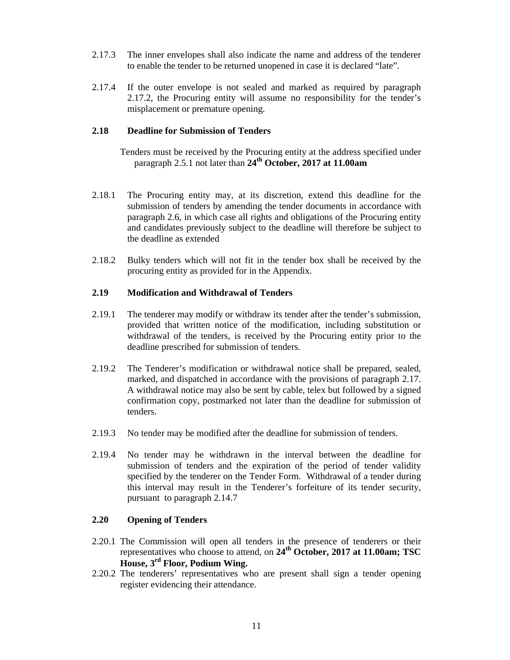- 2.17.3 The inner envelopes shall also indicate the name and address of the tenderer to enable the tender to be returned unopened in case it is declared "late".
- 2.17.4 If the outer envelope is not sealed and marked as required by paragraph 2.17.2, the Procuring entity will assume no responsibility for the tender's misplacement or premature opening.

#### **2.18 Deadline for Submission of Tenders**

- Tenders must be received by the Procuring entity at the address specified under paragraph 2.5.1 not later than **24th October, 2017 at 11.00am**
- 2.18.1 The Procuring entity may, at its discretion, extend this deadline for the submission of tenders by amending the tender documents in accordance with paragraph 2.6, in which case all rights and obligations of the Procuring entity and candidates previously subject to the deadline will therefore be subject to the deadline as extended
- 2.18.2 Bulky tenders which will not fit in the tender box shall be received by the procuring entity as provided for in the Appendix.

#### **2.19 Modification and Withdrawal of Tenders**

- 2.19.1 The tenderer may modify or withdraw its tender after the tender's submission, provided that written notice of the modification, including substitution or withdrawal of the tenders, is received by the Procuring entity prior to the deadline prescribed for submission of tenders.
- 2.19.2 The Tenderer's modification or withdrawal notice shall be prepared, sealed, marked, and dispatched in accordance with the provisions of paragraph 2.17. A withdrawal notice may also be sent by cable, telex but followed by a signed confirmation copy, postmarked not later than the deadline for submission of tenders.
- 2.19.3 No tender may be modified after the deadline for submission of tenders.
- 2.19.4 No tender may be withdrawn in the interval between the deadline for submission of tenders and the expiration of the period of tender validity specified by the tenderer on the Tender Form. Withdrawal of a tender during this interval may result in the Tenderer's forfeiture of its tender security, pursuant to paragraph 2.14.7

#### **2.20 Opening of Tenders**

- 2.20.1 The Commission will open all tenders in the presence of tenderers or their representatives who choose to attend, on **24th October, 2017 at 11.00am; TSC House, 3rd Floor, Podium Wing.**
- 2.20.2 The tenderers' representatives who are present shall sign a tender opening register evidencing their attendance.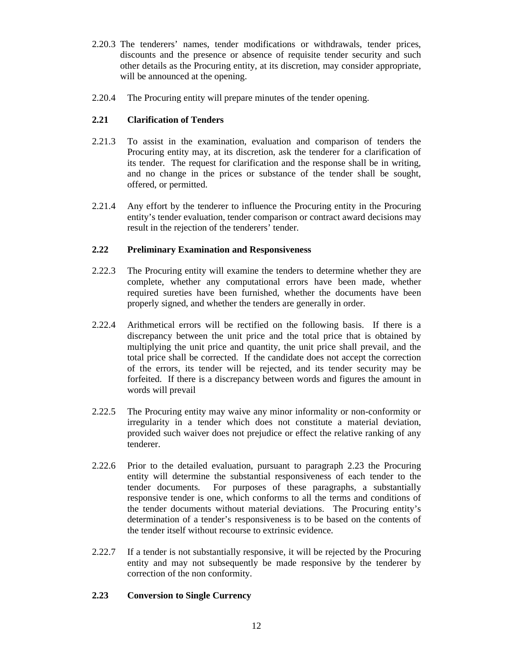- 2.20.3 The tenderers' names, tender modifications or withdrawals, tender prices, discounts and the presence or absence of requisite tender security and such other details as the Procuring entity, at its discretion, may consider appropriate, will be announced at the opening.
- 2.20.4 The Procuring entity will prepare minutes of the tender opening.

## **2.21 Clarification of Tenders**

- 2.21.3 To assist in the examination, evaluation and comparison of tenders the Procuring entity may, at its discretion, ask the tenderer for a clarification of its tender. The request for clarification and the response shall be in writing, and no change in the prices or substance of the tender shall be sought, offered, or permitted.
- 2.21.4 Any effort by the tenderer to influence the Procuring entity in the Procuring entity's tender evaluation, tender comparison or contract award decisions may result in the rejection of the tenderers' tender.

#### **2.22 Preliminary Examination and Responsiveness**

- 2.22.3 The Procuring entity will examine the tenders to determine whether they are complete, whether any computational errors have been made, whether required sureties have been furnished, whether the documents have been properly signed, and whether the tenders are generally in order.
- 2.22.4 Arithmetical errors will be rectified on the following basis. If there is a discrepancy between the unit price and the total price that is obtained by multiplying the unit price and quantity, the unit price shall prevail, and the total price shall be corrected. If the candidate does not accept the correction of the errors, its tender will be rejected, and its tender security may be forfeited. If there is a discrepancy between words and figures the amount in words will prevail
- 2.22.5 The Procuring entity may waive any minor informality or non-conformity or irregularity in a tender which does not constitute a material deviation, provided such waiver does not prejudice or effect the relative ranking of any tenderer.
- 2.22.6 Prior to the detailed evaluation, pursuant to paragraph 2.23 the Procuring entity will determine the substantial responsiveness of each tender to the tender documents. For purposes of these paragraphs, a substantially responsive tender is one, which conforms to all the terms and conditions of the tender documents without material deviations. The Procuring entity's determination of a tender's responsiveness is to be based on the contents of the tender itself without recourse to extrinsic evidence.
- 2.22.7 If a tender is not substantially responsive, it will be rejected by the Procuring entity and may not subsequently be made responsive by the tenderer by correction of the non conformity.

## **2.23 Conversion to Single Currency**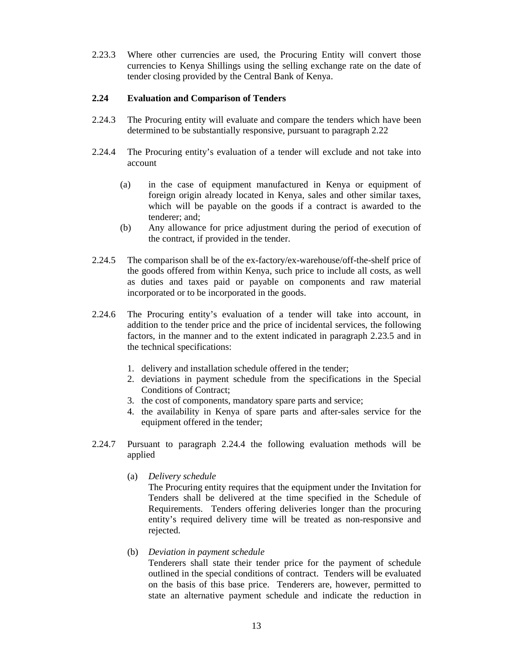2.23.3 Where other currencies are used, the Procuring Entity will convert those currencies to Kenya Shillings using the selling exchange rate on the date of tender closing provided by the Central Bank of Kenya.

#### **2.24 Evaluation and Comparison of Tenders**

- 2.24.3 The Procuring entity will evaluate and compare the tenders which have been determined to be substantially responsive, pursuant to paragraph 2.22
- 2.24.4 The Procuring entity's evaluation of a tender will exclude and not take into account
	- (a) in the case of equipment manufactured in Kenya or equipment of foreign origin already located in Kenya, sales and other similar taxes, which will be payable on the goods if a contract is awarded to the tenderer; and;
	- (b) Any allowance for price adjustment during the period of execution of the contract, if provided in the tender.
- 2.24.5 The comparison shall be of the ex-factory/ex-warehouse/off-the-shelf price of the goods offered from within Kenya, such price to include all costs, as well as duties and taxes paid or payable on components and raw material incorporated or to be incorporated in the goods.
- 2.24.6 The Procuring entity's evaluation of a tender will take into account, in addition to the tender price and the price of incidental services, the following factors, in the manner and to the extent indicated in paragraph 2.23.5 and in the technical specifications:
	- 1. delivery and installation schedule offered in the tender;
	- 2. deviations in payment schedule from the specifications in the Special Conditions of Contract;
	- 3. the cost of components, mandatory spare parts and service;
	- 4. the availability in Kenya of spare parts and after-sales service for the equipment offered in the tender;
- 2.24.7 Pursuant to paragraph 2.24.4 the following evaluation methods will be applied
	- (a) *Delivery schedule*

The Procuring entity requires that the equipment under the Invitation for Tenders shall be delivered at the time specified in the Schedule of Requirements. Tenders offering deliveries longer than the procuring entity's required delivery time will be treated as non-responsive and rejected.

## (b) *Deviation in payment schedule*

Tenderers shall state their tender price for the payment of schedule outlined in the special conditions of contract. Tenders will be evaluated on the basis of this base price. Tenderers are, however, permitted to state an alternative payment schedule and indicate the reduction in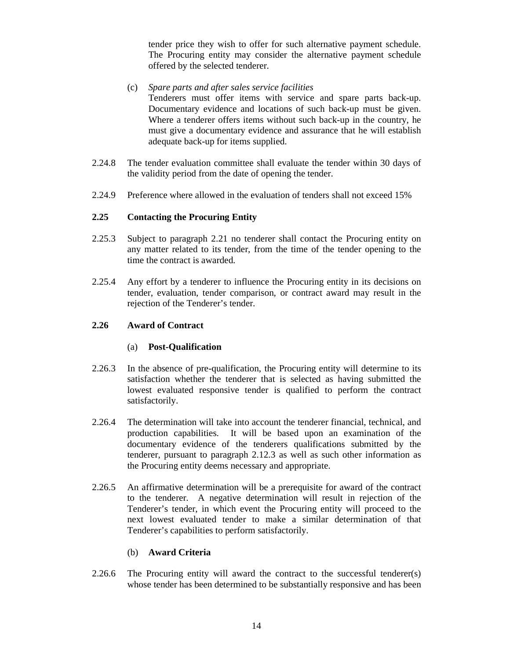tender price they wish to offer for such alternative payment schedule. The Procuring entity may consider the alternative payment schedule offered by the selected tenderer.

- (c) *Spare parts and after sales service facilities*  Tenderers must offer items with service and spare parts back-up. Documentary evidence and locations of such back-up must be given. Where a tenderer offers items without such back-up in the country, he must give a documentary evidence and assurance that he will establish adequate back-up for items supplied.
- 2.24.8 The tender evaluation committee shall evaluate the tender within 30 days of the validity period from the date of opening the tender.
- 2.24.9 Preference where allowed in the evaluation of tenders shall not exceed 15%

#### **2.25 Contacting the Procuring Entity**

- 2.25.3 Subject to paragraph 2.21 no tenderer shall contact the Procuring entity on any matter related to its tender, from the time of the tender opening to the time the contract is awarded.
- 2.25.4 Any effort by a tenderer to influence the Procuring entity in its decisions on tender, evaluation, tender comparison, or contract award may result in the rejection of the Tenderer's tender.

#### **2.26 Award of Contract**

#### (a) **Post-Qualification**

- 2.26.3 In the absence of pre-qualification, the Procuring entity will determine to its satisfaction whether the tenderer that is selected as having submitted the lowest evaluated responsive tender is qualified to perform the contract satisfactorily.
- 2.26.4 The determination will take into account the tenderer financial, technical, and production capabilities. It will be based upon an examination of the documentary evidence of the tenderers qualifications submitted by the tenderer, pursuant to paragraph 2.12.3 as well as such other information as the Procuring entity deems necessary and appropriate.
- 2.26.5 An affirmative determination will be a prerequisite for award of the contract to the tenderer. A negative determination will result in rejection of the Tenderer's tender, in which event the Procuring entity will proceed to the next lowest evaluated tender to make a similar determination of that Tenderer's capabilities to perform satisfactorily.

#### (b) **Award Criteria**

2.26.6 The Procuring entity will award the contract to the successful tenderer(s) whose tender has been determined to be substantially responsive and has been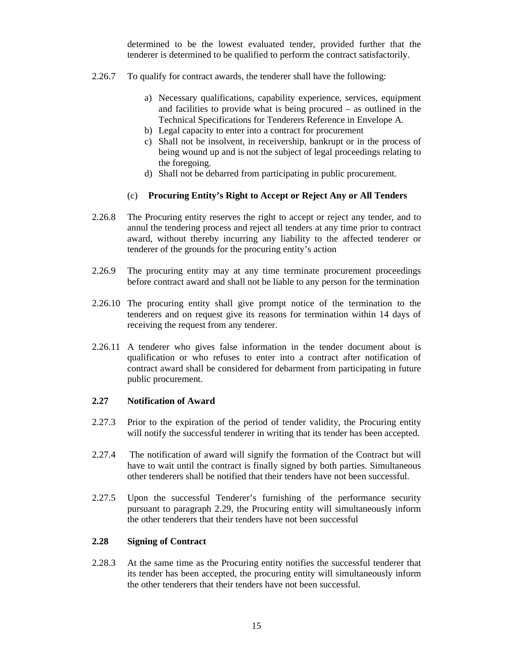determined to be the lowest evaluated tender, provided further that the tenderer is determined to be qualified to perform the contract satisfactorily.

- 2.26.7 To qualify for contract awards, the tenderer shall have the following:
	- a) Necessary qualifications, capability experience, services, equipment and facilities to provide what is being procured – as outlined in the Technical Specifications for Tenderers Reference in Envelope A.
	- b) Legal capacity to enter into a contract for procurement
	- c) Shall not be insolvent, in receivership, bankrupt or in the process of being wound up and is not the subject of legal proceedings relating to the foregoing.
	- d) Shall not be debarred from participating in public procurement.

#### (c) **Procuring Entity's Right to Accept or Reject Any or All Tenders**

- 2.26.8 The Procuring entity reserves the right to accept or reject any tender, and to annul the tendering process and reject all tenders at any time prior to contract award, without thereby incurring any liability to the affected tenderer or tenderer of the grounds for the procuring entity's action
- 2.26.9 The procuring entity may at any time terminate procurement proceedings before contract award and shall not be liable to any person for the termination
- 2.26.10 The procuring entity shall give prompt notice of the termination to the tenderers and on request give its reasons for termination within 14 days of receiving the request from any tenderer.
- 2.26.11 A tenderer who gives false information in the tender document about is qualification or who refuses to enter into a contract after notification of contract award shall be considered for debarment from participating in future public procurement.

#### **2.27 Notification of Award**

- 2.27.3 Prior to the expiration of the period of tender validity, the Procuring entity will notify the successful tenderer in writing that its tender has been accepted.
- 2.27.4 The notification of award will signify the formation of the Contract but will have to wait until the contract is finally signed by both parties. Simultaneous other tenderers shall be notified that their tenders have not been successful.
- 2.27.5 Upon the successful Tenderer's furnishing of the performance security pursuant to paragraph 2.29, the Procuring entity will simultaneously inform the other tenderers that their tenders have not been successful

## **2.28 Signing of Contract**

2.28.3 At the same time as the Procuring entity notifies the successful tenderer that its tender has been accepted, the procuring entity will simultaneously inform the other tenderers that their tenders have not been successful.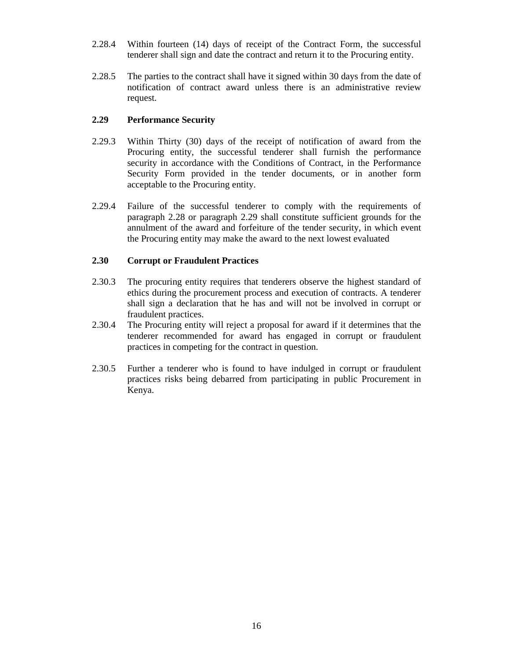- 2.28.4 Within fourteen (14) days of receipt of the Contract Form, the successful tenderer shall sign and date the contract and return it to the Procuring entity.
- 2.28.5 The parties to the contract shall have it signed within 30 days from the date of notification of contract award unless there is an administrative review request.

#### **2.29 Performance Security**

- 2.29.3 Within Thirty (30) days of the receipt of notification of award from the Procuring entity, the successful tenderer shall furnish the performance security in accordance with the Conditions of Contract, in the Performance Security Form provided in the tender documents, or in another form acceptable to the Procuring entity.
- 2.29.4 Failure of the successful tenderer to comply with the requirements of paragraph 2.28 or paragraph 2.29 shall constitute sufficient grounds for the annulment of the award and forfeiture of the tender security, in which event the Procuring entity may make the award to the next lowest evaluated

### **2.30 Corrupt or Fraudulent Practices**

- 2.30.3 The procuring entity requires that tenderers observe the highest standard of ethics during the procurement process and execution of contracts. A tenderer shall sign a declaration that he has and will not be involved in corrupt or fraudulent practices.
- 2.30.4 The Procuring entity will reject a proposal for award if it determines that the tenderer recommended for award has engaged in corrupt or fraudulent practices in competing for the contract in question.
- 2.30.5 Further a tenderer who is found to have indulged in corrupt or fraudulent practices risks being debarred from participating in public Procurement in Kenya.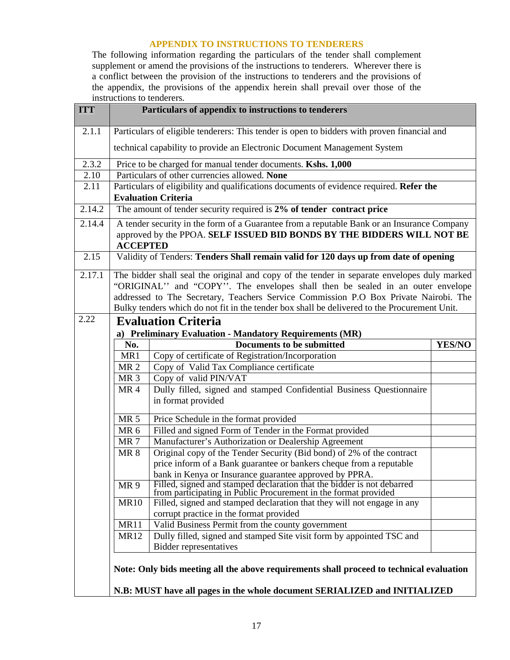## **APPENDIX TO INSTRUCTIONS TO TENDERERS**

The following information regarding the particulars of the tender shall complement supplement or amend the provisions of the instructions to tenderers. Wherever there is a conflict between the provision of the instructions to tenderers and the provisions of the appendix, the provisions of the appendix herein shall prevail over those of the instructions to tenderers.

| <b>ITT</b>          |                  | Particulars of appendix to instructions to tenderers                                                                                                                  |               |
|---------------------|------------------|-----------------------------------------------------------------------------------------------------------------------------------------------------------------------|---------------|
| 2.1.1               |                  | Particulars of eligible tenderers: This tender is open to bidders with proven financial and                                                                           |               |
|                     |                  | technical capability to provide an Electronic Document Management System                                                                                              |               |
| 2.3.2               |                  | Price to be charged for manual tender documents. Kshs. 1,000                                                                                                          |               |
| 2.10                |                  | Particulars of other currencies allowed. None                                                                                                                         |               |
| 2.11                |                  | Particulars of eligibility and qualifications documents of evidence required. Refer the<br><b>Evaluation Criteria</b>                                                 |               |
| 2.14.2              |                  | The amount of tender security required is 2% of tender contract price                                                                                                 |               |
| 2.14.4              | <b>ACCEPTED</b>  | A tender security in the form of a Guarantee from a reputable Bank or an Insurance Company<br>approved by the PPOA. SELF ISSUED BID BONDS BY THE BIDDERS WILL NOT BE  |               |
| 2.15                |                  | Validity of Tenders: Tenders Shall remain valid for 120 days up from date of opening                                                                                  |               |
| $\overline{2.17.1}$ |                  | The bidder shall seal the original and copy of the tender in separate envelopes duly marked                                                                           |               |
|                     |                  | "ORIGINAL" and "COPY". The envelopes shall then be sealed in an outer envelope                                                                                        |               |
|                     |                  | addressed to The Secretary, Teachers Service Commission P.O Box Private Nairobi. The                                                                                  |               |
|                     |                  | Bulky tenders which do not fit in the tender box shall be delivered to the Procurement Unit.                                                                          |               |
| 2.22                |                  | <b>Evaluation Criteria</b>                                                                                                                                            |               |
|                     |                  | a) Preliminary Evaluation - Mandatory Requirements (MR)                                                                                                               |               |
|                     | No.              | Documents to be submitted                                                                                                                                             | <b>YES/NO</b> |
|                     | MR1              | Copy of certificate of Registration/Incorporation                                                                                                                     |               |
|                     | MR <sub>2</sub>  | Copy of Valid Tax Compliance certificate                                                                                                                              |               |
|                     | MR <sub>3</sub>  | Copy of valid PIN/VAT                                                                                                                                                 |               |
|                     | MR4              | Dully filled, signed and stamped Confidential Business Questionnaire<br>in format provided                                                                            |               |
|                     | <b>MR 5</b>      | Price Schedule in the format provided                                                                                                                                 |               |
|                     | MR <sub>6</sub>  | Filled and signed Form of Tender in the Format provided                                                                                                               |               |
|                     | MR <sub>7</sub>  | Manufacturer's Authorization or Dealership Agreement                                                                                                                  |               |
|                     | <b>MR 8</b>      | Original copy of the Tender Security (Bid bond) of 2% of the contract                                                                                                 |               |
|                     |                  | price inform of a Bank guarantee or bankers cheque from a reputable                                                                                                   |               |
|                     |                  | bank in Kenya or Insurance guarantee approved by PPRA.                                                                                                                |               |
|                     | MR <sub>9</sub>  | Filled, signed and stamped declaration that the bidder is not debarred<br>from participating in Public Procurement in the format provided                             |               |
|                     | <b>MR10</b>      | Filled, signed and stamped declaration that they will not engage in any                                                                                               |               |
|                     |                  | corrupt practice in the format provided                                                                                                                               |               |
|                     | MR <sub>11</sub> | Valid Business Permit from the county government                                                                                                                      |               |
|                     | <b>MR12</b>      | Dully filled, signed and stamped Site visit form by appointed TSC and                                                                                                 |               |
|                     |                  | <b>Bidder representatives</b>                                                                                                                                         |               |
|                     |                  | Note: Only bids meeting all the above requirements shall proceed to technical evaluation<br>N.B: MUST have all pages in the whole document SERIALIZED and INITIALIZED |               |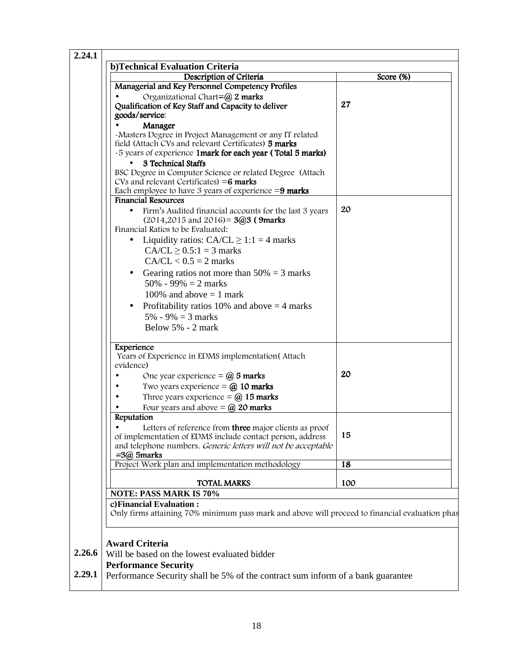| Description of Criteria                                                                                                                                                                                                         | Score (%) |
|---------------------------------------------------------------------------------------------------------------------------------------------------------------------------------------------------------------------------------|-----------|
| Managerial and Key Personnel Competency Profiles                                                                                                                                                                                |           |
| Organizational Chart=@ 2 marks                                                                                                                                                                                                  |           |
| Qualification of Key Staff and Capacity to deliver                                                                                                                                                                              | 27        |
| goods/service:                                                                                                                                                                                                                  |           |
| Manager                                                                                                                                                                                                                         |           |
| -Masters Degree in Project Management or any IT related<br>field (Attach CVs and relevant Certificates) 5 marks<br>-5 years of experience 1 mark for each year (Total 5 marks)<br>3 Technical Staffs                            |           |
| BSC Degree in Computer Science or related Degree (Attach<br>CVs and relevant Certificates) = $6$ marks                                                                                                                          |           |
| Each employee to have 3 years of experience $=9$ marks<br><b>Financial Resources</b>                                                                                                                                            |           |
| Firm's Audited financial accounts for the last 3 years<br>$\bullet$<br>$(2014, 2015 \text{ and } 2016) = 3@3$ (9marks)<br>Financial Ratios to be Evaluated:<br>Liquidity ratios: $CA/CL \ge 1:1 = 4$ marks<br>$\bullet$         | 20        |
| $CA/CL \geq 0.5:1 = 3$ marks                                                                                                                                                                                                    |           |
| $CA/CL < 0.5 = 2$ marks                                                                                                                                                                                                         |           |
| Gearing ratios not more than $50\% = 3$ marks<br>$50\% - 99\% = 2$ marks<br>100% and above $= 1$ mark                                                                                                                           |           |
|                                                                                                                                                                                                                                 |           |
| Profitability ratios 10% and above $=$ 4 marks<br>$5\% - 9\% = 3$ marks                                                                                                                                                         |           |
| Below 5% - 2 mark                                                                                                                                                                                                               |           |
|                                                                                                                                                                                                                                 |           |
| Experience<br>Years of Experience in EDMS implementation (Attach<br>evidence)                                                                                                                                                   |           |
| One year experience = $\omega$ 5 marks                                                                                                                                                                                          | 20        |
| Two years experience $=$ $\omega$ 10 marks                                                                                                                                                                                      |           |
| Three years experience $=$ $\omega$ 15 marks                                                                                                                                                                                    |           |
| Four years and above $=$ $\omega$ 20 marks                                                                                                                                                                                      |           |
| Reputation<br>Letters of reference from three major clients as proof<br>of implementation of EDMS include contact person, address<br>and telephone numbers. Generic letters will not be acceptable<br>$=3$ ( <i>a</i> ) 5 marks | 15        |
| Project Work plan and implementation methodology                                                                                                                                                                                | 18        |
| <b>TOTAL MARKS</b>                                                                                                                                                                                                              | 100       |
| <b>NOTE: PASS MARK IS 70%</b>                                                                                                                                                                                                   |           |
|                                                                                                                                                                                                                                 |           |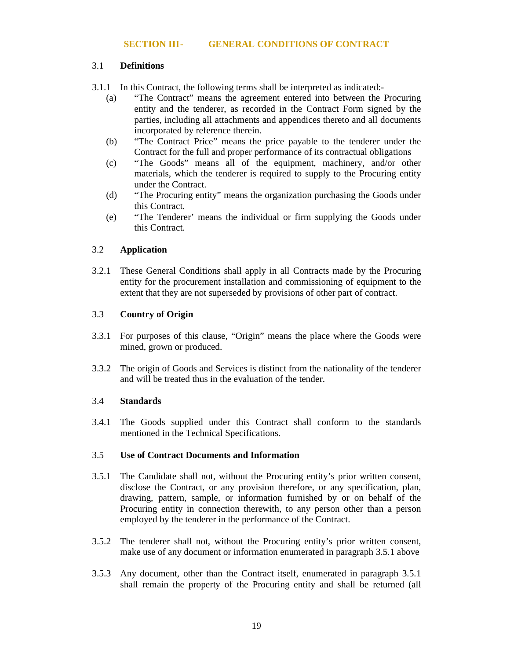#### 3.1 **Definitions**

3.1.1 In this Contract, the following terms shall be interpreted as indicated:-

- (a) "The Contract" means the agreement entered into between the Procuring entity and the tenderer, as recorded in the Contract Form signed by the parties, including all attachments and appendices thereto and all documents incorporated by reference therein.
- (b) "The Contract Price" means the price payable to the tenderer under the Contract for the full and proper performance of its contractual obligations
- (c) "The Goods" means all of the equipment, machinery, and/or other materials, which the tenderer is required to supply to the Procuring entity under the Contract.
- (d) "The Procuring entity" means the organization purchasing the Goods under this Contract.
- (e) "The Tenderer' means the individual or firm supplying the Goods under this Contract.

## 3.2 **Application**

3.2.1 These General Conditions shall apply in all Contracts made by the Procuring entity for the procurement installation and commissioning of equipment to the extent that they are not superseded by provisions of other part of contract.

## 3.3 **Country of Origin**

- 3.3.1 For purposes of this clause, "Origin" means the place where the Goods were mined, grown or produced.
- 3.3.2 The origin of Goods and Services is distinct from the nationality of the tenderer and will be treated thus in the evaluation of the tender.

## 3.4 **Standards**

3.4.1 The Goods supplied under this Contract shall conform to the standards mentioned in the Technical Specifications.

#### 3.5 **Use of Contract Documents and Information**

- 3.5.1 The Candidate shall not, without the Procuring entity's prior written consent, disclose the Contract, or any provision therefore, or any specification, plan, drawing, pattern, sample, or information furnished by or on behalf of the Procuring entity in connection therewith, to any person other than a person employed by the tenderer in the performance of the Contract.
- 3.5.2 The tenderer shall not, without the Procuring entity's prior written consent, make use of any document or information enumerated in paragraph 3.5.1 above
- 3.5.3 Any document, other than the Contract itself, enumerated in paragraph 3.5.1 shall remain the property of the Procuring entity and shall be returned (all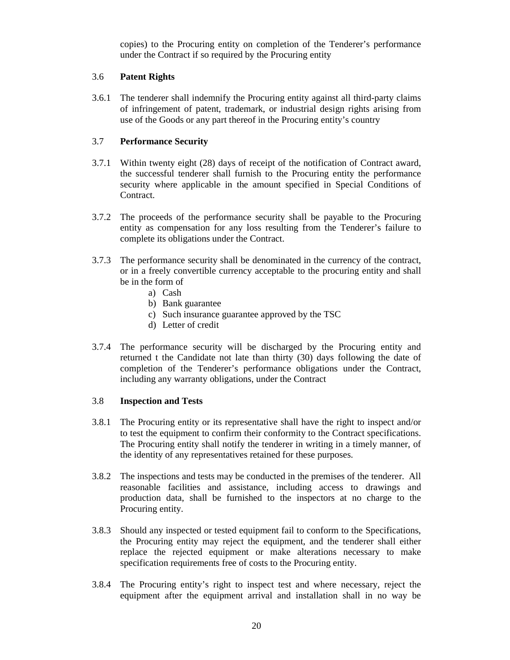copies) to the Procuring entity on completion of the Tenderer's performance under the Contract if so required by the Procuring entity

#### 3.6 **Patent Rights**

3.6.1 The tenderer shall indemnify the Procuring entity against all third-party claims of infringement of patent, trademark, or industrial design rights arising from use of the Goods or any part thereof in the Procuring entity's country

### 3.7 **Performance Security**

- 3.7.1 Within twenty eight (28) days of receipt of the notification of Contract award, the successful tenderer shall furnish to the Procuring entity the performance security where applicable in the amount specified in Special Conditions of Contract.
- 3.7.2 The proceeds of the performance security shall be payable to the Procuring entity as compensation for any loss resulting from the Tenderer's failure to complete its obligations under the Contract.
- 3.7.3 The performance security shall be denominated in the currency of the contract, or in a freely convertible currency acceptable to the procuring entity and shall be in the form of
	- a) Cash
	- b) Bank guarantee
	- c) Such insurance guarantee approved by the TSC
	- d) Letter of credit
- 3.7.4 The performance security will be discharged by the Procuring entity and returned t the Candidate not late than thirty (30) days following the date of completion of the Tenderer's performance obligations under the Contract, including any warranty obligations, under the Contract

#### 3.8 **Inspection and Tests**

- 3.8.1 The Procuring entity or its representative shall have the right to inspect and/or to test the equipment to confirm their conformity to the Contract specifications. The Procuring entity shall notify the tenderer in writing in a timely manner, of the identity of any representatives retained for these purposes.
- 3.8.2 The inspections and tests may be conducted in the premises of the tenderer. All reasonable facilities and assistance, including access to drawings and production data, shall be furnished to the inspectors at no charge to the Procuring entity.
- 3.8.3 Should any inspected or tested equipment fail to conform to the Specifications, the Procuring entity may reject the equipment, and the tenderer shall either replace the rejected equipment or make alterations necessary to make specification requirements free of costs to the Procuring entity.
- 3.8.4 The Procuring entity's right to inspect test and where necessary, reject the equipment after the equipment arrival and installation shall in no way be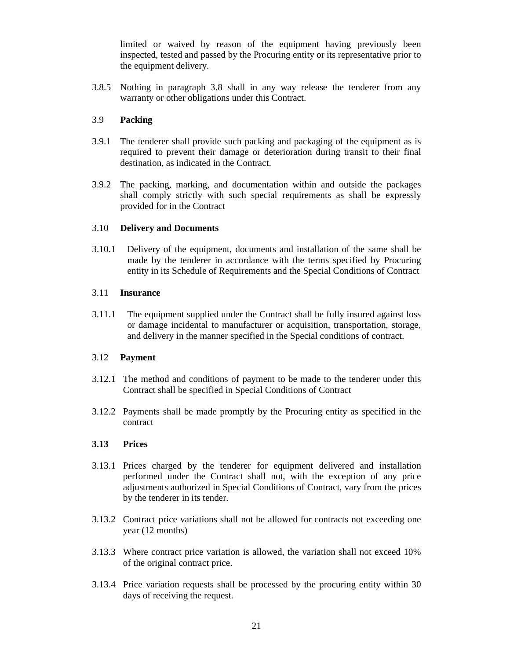limited or waived by reason of the equipment having previously been inspected, tested and passed by the Procuring entity or its representative prior to the equipment delivery.

3.8.5 Nothing in paragraph 3.8 shall in any way release the tenderer from any warranty or other obligations under this Contract.

## 3.9 **Packing**

- 3.9.1 The tenderer shall provide such packing and packaging of the equipment as is required to prevent their damage or deterioration during transit to their final destination, as indicated in the Contract.
- 3.9.2 The packing, marking, and documentation within and outside the packages shall comply strictly with such special requirements as shall be expressly provided for in the Contract

#### 3.10 **Delivery and Documents**

3.10.1 Delivery of the equipment, documents and installation of the same shall be made by the tenderer in accordance with the terms specified by Procuring entity in its Schedule of Requirements and the Special Conditions of Contract

#### 3.11 **Insurance**

3.11.1 The equipment supplied under the Contract shall be fully insured against loss or damage incidental to manufacturer or acquisition, transportation, storage, and delivery in the manner specified in the Special conditions of contract.

#### 3.12 **Payment**

- 3.12.1 The method and conditions of payment to be made to the tenderer under this Contract shall be specified in Special Conditions of Contract
- 3.12.2 Payments shall be made promptly by the Procuring entity as specified in the contract

#### **3.13 Prices**

- 3.13.1 Prices charged by the tenderer for equipment delivered and installation performed under the Contract shall not, with the exception of any price adjustments authorized in Special Conditions of Contract, vary from the prices by the tenderer in its tender.
- 3.13.2 Contract price variations shall not be allowed for contracts not exceeding one year (12 months)
- 3.13.3 Where contract price variation is allowed, the variation shall not exceed 10% of the original contract price.
- 3.13.4 Price variation requests shall be processed by the procuring entity within 30 days of receiving the request.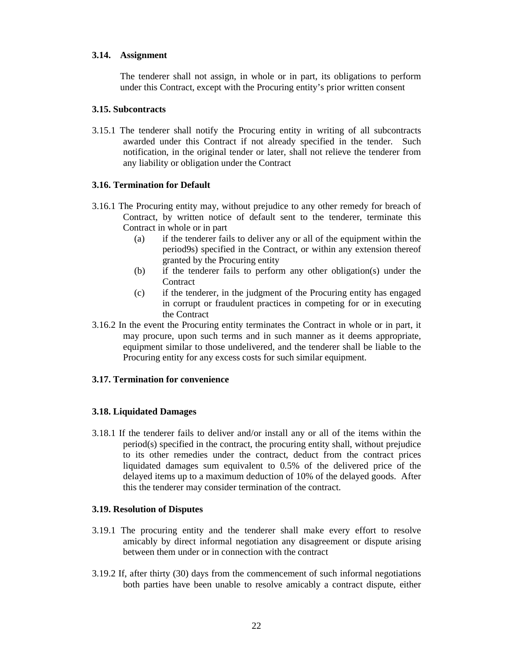### **3.14. Assignment**

The tenderer shall not assign, in whole or in part, its obligations to perform under this Contract, except with the Procuring entity's prior written consent

#### **3.15. Subcontracts**

3.15.1 The tenderer shall notify the Procuring entity in writing of all subcontracts awarded under this Contract if not already specified in the tender. Such notification, in the original tender or later, shall not relieve the tenderer from any liability or obligation under the Contract

#### **3.16. Termination for Default**

- 3.16.1 The Procuring entity may, without prejudice to any other remedy for breach of Contract, by written notice of default sent to the tenderer, terminate this Contract in whole or in part
	- (a) if the tenderer fails to deliver any or all of the equipment within the period9s) specified in the Contract, or within any extension thereof granted by the Procuring entity
	- (b) if the tenderer fails to perform any other obligation(s) under the **Contract**
	- (c) if the tenderer, in the judgment of the Procuring entity has engaged in corrupt or fraudulent practices in competing for or in executing the Contract
- 3.16.2 In the event the Procuring entity terminates the Contract in whole or in part, it may procure, upon such terms and in such manner as it deems appropriate, equipment similar to those undelivered, and the tenderer shall be liable to the Procuring entity for any excess costs for such similar equipment.

#### **3.17. Termination for convenience**

#### **3.18. Liquidated Damages**

3.18.1 If the tenderer fails to deliver and/or install any or all of the items within the period(s) specified in the contract, the procuring entity shall, without prejudice to its other remedies under the contract, deduct from the contract prices liquidated damages sum equivalent to 0.5% of the delivered price of the delayed items up to a maximum deduction of 10% of the delayed goods. After this the tenderer may consider termination of the contract.

#### **3.19. Resolution of Disputes**

- 3.19.1 The procuring entity and the tenderer shall make every effort to resolve amicably by direct informal negotiation any disagreement or dispute arising between them under or in connection with the contract
- 3.19.2 If, after thirty (30) days from the commencement of such informal negotiations both parties have been unable to resolve amicably a contract dispute, either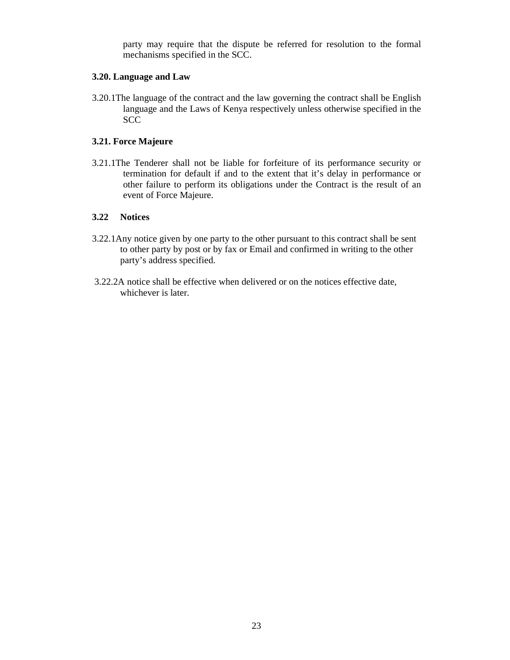party may require that the dispute be referred for resolution to the formal mechanisms specified in the SCC.

#### **3.20. Language and Law**

3.20.1The language of the contract and the law governing the contract shall be English language and the Laws of Kenya respectively unless otherwise specified in the **SCC** 

## **3.21. Force Majeure**

3.21.1The Tenderer shall not be liable for forfeiture of its performance security or termination for default if and to the extent that it's delay in performance or other failure to perform its obligations under the Contract is the result of an event of Force Majeure.

### **3.22 Notices**

- 3.22.1Any notice given by one party to the other pursuant to this contract shall be sent to other party by post or by fax or Email and confirmed in writing to the other party's address specified.
- 3.22.2A notice shall be effective when delivered or on the notices effective date, whichever is later.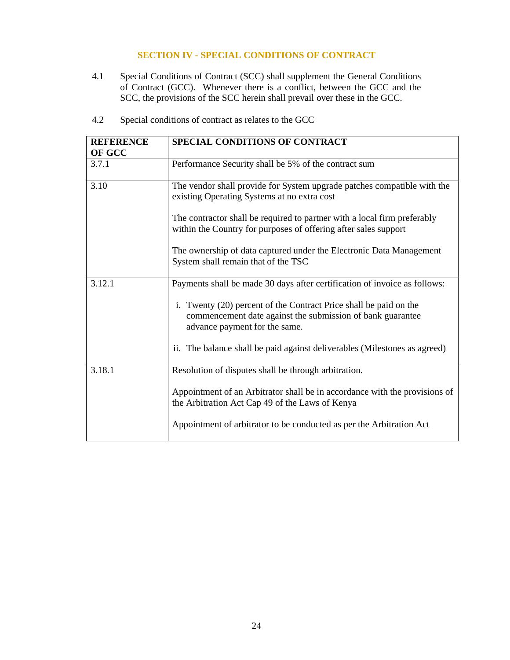## **SECTION IV - SPECIAL CONDITIONS OF CONTRACT**

4.1 Special Conditions of Contract (SCC) shall supplement the General Conditions of Contract (GCC). Whenever there is a conflict, between the GCC and the SCC, the provisions of the SCC herein shall prevail over these in the GCC.

| <b>REFERENCE</b><br>OF GCC | SPECIAL CONDITIONS OF CONTRACT                                                                                                                                   |
|----------------------------|------------------------------------------------------------------------------------------------------------------------------------------------------------------|
| 3.7.1                      | Performance Security shall be 5% of the contract sum                                                                                                             |
| 3.10                       | The vendor shall provide for System upgrade patches compatible with the<br>existing Operating Systems at no extra cost                                           |
|                            | The contractor shall be required to partner with a local firm preferably<br>within the Country for purposes of offering after sales support                      |
|                            | The ownership of data captured under the Electronic Data Management<br>System shall remain that of the TSC                                                       |
| 3.12.1                     | Payments shall be made 30 days after certification of invoice as follows:                                                                                        |
|                            | i. Twenty (20) percent of the Contract Price shall be paid on the<br>commencement date against the submission of bank guarantee<br>advance payment for the same. |
|                            | ii. The balance shall be paid against deliverables (Milestones as agreed)                                                                                        |
| 3.18.1                     | Resolution of disputes shall be through arbitration.                                                                                                             |
|                            | Appointment of an Arbitrator shall be in accordance with the provisions of<br>the Arbitration Act Cap 49 of the Laws of Kenya                                    |
|                            | Appointment of arbitrator to be conducted as per the Arbitration Act                                                                                             |

4.2 Special conditions of contract as relates to the GCC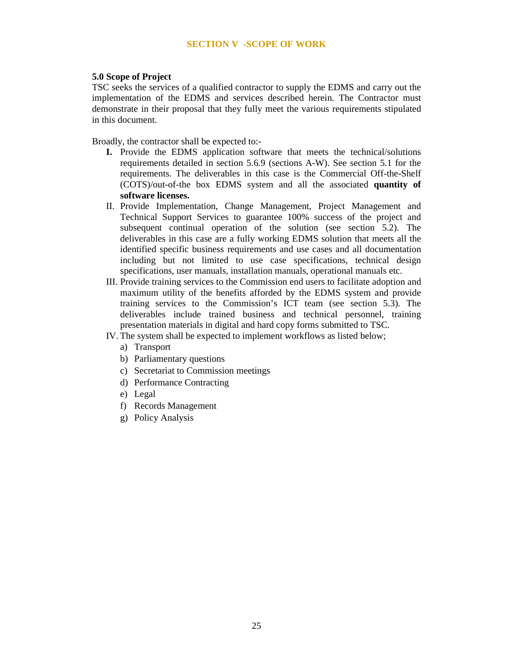#### **SECTION V -SCOPE OF WORK**

#### **5.0 Scope of Project**

TSC seeks the services of a qualified contractor to supply the EDMS and carry out the implementation of the EDMS and services described herein. The Contractor must demonstrate in their proposal that they fully meet the various requirements stipulated in this document.

Broadly, the contractor shall be expected to:-

- **I.** Provide the EDMS application software that meets the technical/solutions requirements detailed in section 5.6.9 (sections A-W). See section 5.1 for the requirements. The deliverables in this case is the Commercial Off-the-Shelf (COTS)/out-of-the box EDMS system and all the associated **quantity of software licenses.**
- II. Provide Implementation, Change Management, Project Management and Technical Support Services to guarantee 100% success of the project and subsequent continual operation of the solution (see section 5.2). The deliverables in this case are a fully working EDMS solution that meets all the identified specific business requirements and use cases and all documentation including but not limited to use case specifications, technical design specifications, user manuals, installation manuals, operational manuals etc.
- III. Provide training services to the Commission end users to facilitate adoption and maximum utility of the benefits afforded by the EDMS system and provide training services to the Commission's ICT team (see section 5.3). The deliverables include trained business and technical personnel, training presentation materials in digital and hard copy forms submitted to TSC.
- IV. The system shall be expected to implement workflows as listed below;
	- a) Transport
	- b) Parliamentary questions
	- c) Secretariat to Commission meetings
	- d) Performance Contracting
	- e) Legal
	- f) Records Management
	- g) Policy Analysis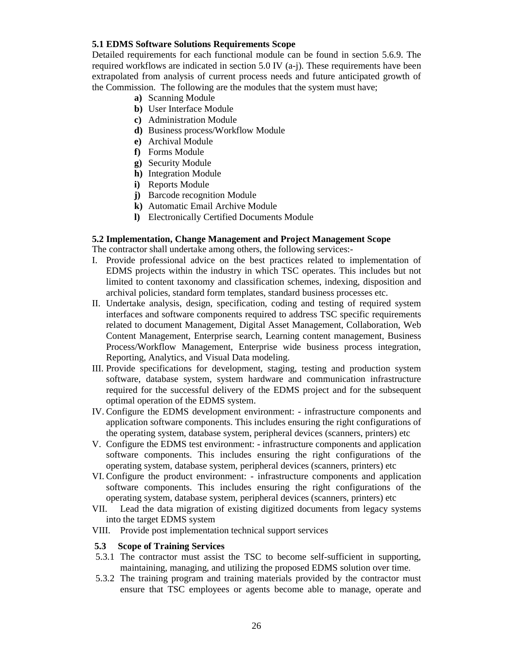## **5.1 EDMS Software Solutions Requirements Scope**

Detailed requirements for each functional module can be found in section 5.6.9. The required workflows are indicated in section 5.0 IV (a-j). These requirements have been extrapolated from analysis of current process needs and future anticipated growth of the Commission. The following are the modules that the system must have;

- **a)** Scanning Module
- **b)** User Interface Module
- **c)** Administration Module
- **d)** Business process/Workflow Module
- **e)** Archival Module
- **f)** Forms Module
- **g)** Security Module
- **h)** Integration Module
- **i)** Reports Module
- **j)** Barcode recognition Module
- **k)** Automatic Email Archive Module
- **l)** Electronically Certified Documents Module

#### **5.2 Implementation, Change Management and Project Management Scope**

The contractor shall undertake among others, the following services:-

- I. Provide professional advice on the best practices related to implementation of EDMS projects within the industry in which TSC operates. This includes but not limited to content taxonomy and classification schemes, indexing, disposition and archival policies, standard form templates, standard business processes etc.
- II. Undertake analysis, design, specification, coding and testing of required system interfaces and software components required to address TSC specific requirements related to document Management, Digital Asset Management, Collaboration, Web Content Management, Enterprise search, Learning content management, Business Process/Workflow Management, Enterprise wide business process integration, Reporting, Analytics, and Visual Data modeling.
- III. Provide specifications for development, staging, testing and production system software, database system, system hardware and communication infrastructure required for the successful delivery of the EDMS project and for the subsequent optimal operation of the EDMS system.
- IV. Configure the EDMS development environment: infrastructure components and application software components. This includes ensuring the right configurations of the operating system, database system, peripheral devices (scanners, printers) etc
- V. Configure the EDMS test environment: infrastructure components and application software components. This includes ensuring the right configurations of the operating system, database system, peripheral devices (scanners, printers) etc
- VI. Configure the product environment: infrastructure components and application software components. This includes ensuring the right configurations of the operating system, database system, peripheral devices (scanners, printers) etc
- VII. Lead the data migration of existing digitized documents from legacy systems into the target EDMS system
- VIII. Provide post implementation technical support services

#### **5.3 Scope of Training Services**

- 5.3.1 The contractor must assist the TSC to become self-sufficient in supporting, maintaining, managing, and utilizing the proposed EDMS solution over time.
- 5.3.2 The training program and training materials provided by the contractor must ensure that TSC employees or agents become able to manage, operate and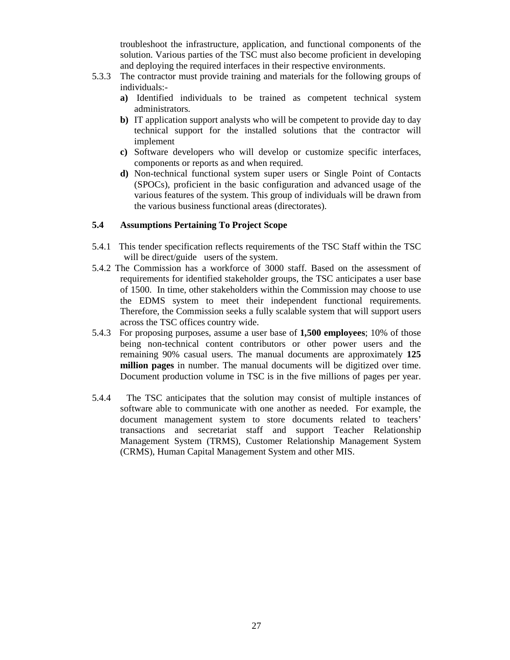troubleshoot the infrastructure, application, and functional components of the solution. Various parties of the TSC must also become proficient in developing and deploying the required interfaces in their respective environments.

- 5.3.3 The contractor must provide training and materials for the following groups of individuals:
	- **a)** Identified individuals to be trained as competent technical system administrators.
	- **b)** IT application support analysts who will be competent to provide day to day technical support for the installed solutions that the contractor will implement
	- **c)** Software developers who will develop or customize specific interfaces, components or reports as and when required.
	- **d)** Non-technical functional system super users or Single Point of Contacts (SPOCs), proficient in the basic configuration and advanced usage of the various features of the system. This group of individuals will be drawn from the various business functional areas (directorates).

## **5.4 Assumptions Pertaining To Project Scope**

- 5.4.1 This tender specification reflects requirements of the TSC Staff within the TSC will be direct/guide users of the system.
- 5.4.2 The Commission has a workforce of 3000 staff. Based on the assessment of requirements for identified stakeholder groups, the TSC anticipates a user base of 1500. In time, other stakeholders within the Commission may choose to use the EDMS system to meet their independent functional requirements. Therefore, the Commission seeks a fully scalable system that will support users across the TSC offices country wide.
- 5.4.3 For proposing purposes, assume a user base of **1,500 employees**; 10% of those being non-technical content contributors or other power users and the remaining 90% casual users. The manual documents are approximately **125 million pages** in number. The manual documents will be digitized over time. Document production volume in TSC is in the five millions of pages per year.
- 5.4.4 The TSC anticipates that the solution may consist of multiple instances of software able to communicate with one another as needed. For example, the document management system to store documents related to teachers' transactions and secretariat staff and support Teacher Relationship Management System (TRMS), Customer Relationship Management System (CRMS), Human Capital Management System and other MIS.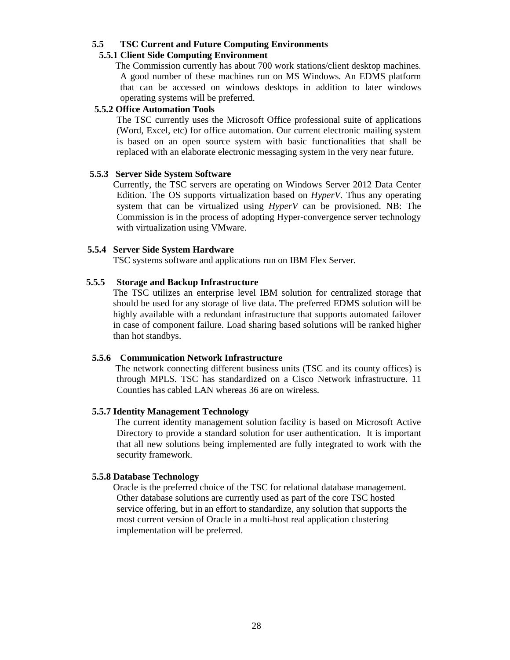#### **5.5 TSC Current and Future Computing Environments**

## **5.5.1 Client Side Computing Environment**

 The Commission currently has about 700 work stations/client desktop machines. A good number of these machines run on MS Windows. An EDMS platform that can be accessed on windows desktops in addition to later windows operating systems will be preferred.

#### **5.5.2 Office Automation Tools**

The TSC currently uses the Microsoft Office professional suite of applications (Word, Excel, etc) for office automation. Our current electronic mailing system is based on an open source system with basic functionalities that shall be replaced with an elaborate electronic messaging system in the very near future.

#### **5.5.3 Server Side System Software**

 Currently, the TSC servers are operating on Windows Server 2012 Data Center Edition. The OS supports virtualization based on *HyperV*. Thus any operating system that can be virtualized using *HyperV* can be provisioned. NB: The Commission is in the process of adopting Hyper-convergence server technology with virtualization using VMware.

#### **5.5.4 Server Side System Hardware**

TSC systems software and applications run on IBM Flex Server.

#### **5.5.5 Storage and Backup Infrastructure**

 The TSC utilizes an enterprise level IBM solution for centralized storage that should be used for any storage of live data. The preferred EDMS solution will be highly available with a redundant infrastructure that supports automated failover in case of component failure. Load sharing based solutions will be ranked higher than hot standbys.

#### **5.5.6 Communication Network Infrastructure**

 The network connecting different business units (TSC and its county offices) is through MPLS. TSC has standardized on a Cisco Network infrastructure. 11 Counties has cabled LAN whereas 36 are on wireless.

#### **5.5.7 Identity Management Technology**

 The current identity management solution facility is based on Microsoft Active Directory to provide a standard solution for user authentication. It is important that all new solutions being implemented are fully integrated to work with the security framework.

#### **5.5.8 Database Technology**

 Oracle is the preferred choice of the TSC for relational database management. Other database solutions are currently used as part of the core TSC hosted service offering, but in an effort to standardize, any solution that supports the most current version of Oracle in a multi-host real application clustering implementation will be preferred.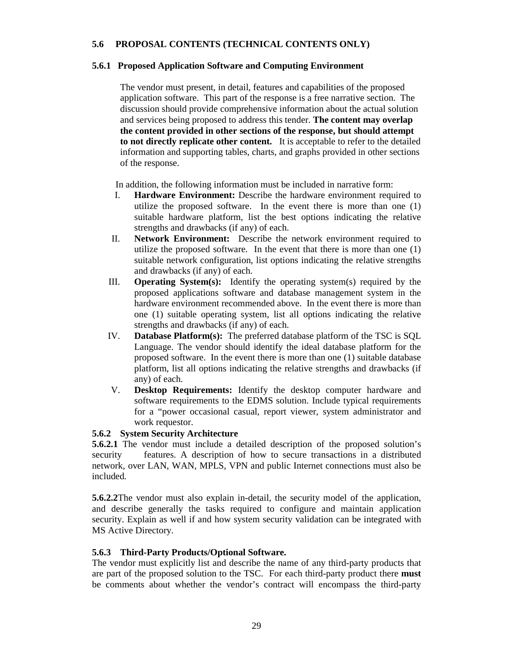## **5.6 PROPOSAL CONTENTS (TECHNICAL CONTENTS ONLY)**

### **5.6.1 Proposed Application Software and Computing Environment**

The vendor must present, in detail, features and capabilities of the proposed application software. This part of the response is a free narrative section. The discussion should provide comprehensive information about the actual solution and services being proposed to address this tender. **The content may overlap the content provided in other sections of the response, but should attempt to not directly replicate other content.** It is acceptable to refer to the detailed information and supporting tables, charts, and graphs provided in other sections of the response.

In addition, the following information must be included in narrative form:

- I. **Hardware Environment:** Describe the hardware environment required to utilize the proposed software. In the event there is more than one (1) suitable hardware platform, list the best options indicating the relative strengths and drawbacks (if any) of each.
- II. **Network Environment:** Describe the network environment required to utilize the proposed software. In the event that there is more than one (1) suitable network configuration, list options indicating the relative strengths and drawbacks (if any) of each.
- III. **Operating System(s):** Identify the operating system(s) required by the proposed applications software and database management system in the hardware environment recommended above. In the event there is more than one (1) suitable operating system, list all options indicating the relative strengths and drawbacks (if any) of each.
- IV. **Database Platform(s):** The preferred database platform of the TSC is SQL Language. The vendor should identify the ideal database platform for the proposed software. In the event there is more than one (1) suitable database platform, list all options indicating the relative strengths and drawbacks (if any) of each.
- V. **Desktop Requirements:** Identify the desktop computer hardware and software requirements to the EDMS solution. Include typical requirements for a "power occasional casual, report viewer, system administrator and work requestor.

## **5.6.2 System Security Architecture**

**5.6.2.1** The vendor must include a detailed description of the proposed solution's security features. A description of how to secure transactions in a distributed network, over LAN, WAN, MPLS, VPN and public Internet connections must also be included.

**5.6.2.2**The vendor must also explain in-detail, the security model of the application, and describe generally the tasks required to configure and maintain application security. Explain as well if and how system security validation can be integrated with MS Active Directory.

#### **5.6.3 Third-Party Products/Optional Software.**

The vendor must explicitly list and describe the name of any third-party products that are part of the proposed solution to the TSC. For each third-party product there **must** be comments about whether the vendor's contract will encompass the third-party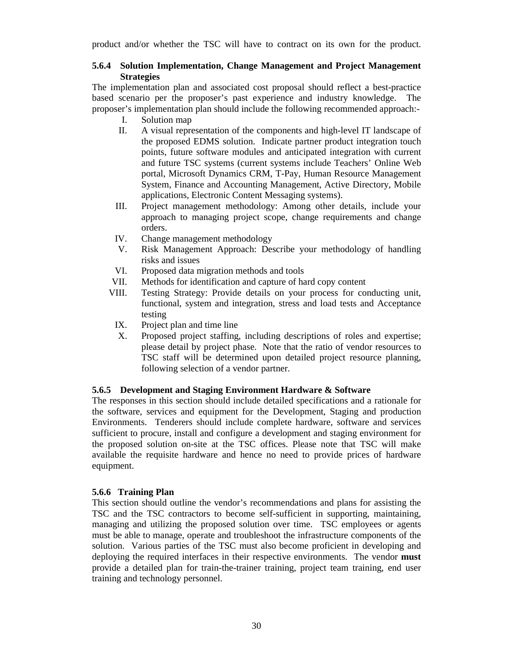product and/or whether the TSC will have to contract on its own for the product.

#### **5.6.4 Solution Implementation, Change Management and Project Management Strategies**

The implementation plan and associated cost proposal should reflect a best-practice based scenario per the proposer's past experience and industry knowledge. The proposer's implementation plan should include the following recommended approach:-

- I. Solution map
- II. A visual representation of the components and high-level IT landscape of the proposed EDMS solution. Indicate partner product integration touch points, future software modules and anticipated integration with current and future TSC systems (current systems include Teachers' Online Web portal, Microsoft Dynamics CRM, T-Pay, Human Resource Management System, Finance and Accounting Management, Active Directory, Mobile applications, Electronic Content Messaging systems).
- III. Project management methodology: Among other details, include your approach to managing project scope, change requirements and change orders.
- IV. Change management methodology
- V. Risk Management Approach: Describe your methodology of handling risks and issues
- VI. Proposed data migration methods and tools
- VII. Methods for identification and capture of hard copy content
- VIII. Testing Strategy: Provide details on your process for conducting unit, functional, system and integration, stress and load tests and Acceptance testing
- IX. Project plan and time line
- X. Proposed project staffing, including descriptions of roles and expertise; please detail by project phase. Note that the ratio of vendor resources to TSC staff will be determined upon detailed project resource planning, following selection of a vendor partner.

#### **5.6.5 Development and Staging Environment Hardware & Software**

The responses in this section should include detailed specifications and a rationale for the software, services and equipment for the Development, Staging and production Environments. Tenderers should include complete hardware, software and services sufficient to procure, install and configure a development and staging environment for the proposed solution on-site at the TSC offices. Please note that TSC will make available the requisite hardware and hence no need to provide prices of hardware equipment.

#### **5.6.6 Training Plan**

This section should outline the vendor's recommendations and plans for assisting the TSC and the TSC contractors to become self-sufficient in supporting, maintaining, managing and utilizing the proposed solution over time. TSC employees or agents must be able to manage, operate and troubleshoot the infrastructure components of the solution. Various parties of the TSC must also become proficient in developing and deploying the required interfaces in their respective environments. The vendor **must**  provide a detailed plan for train-the-trainer training, project team training, end user training and technology personnel.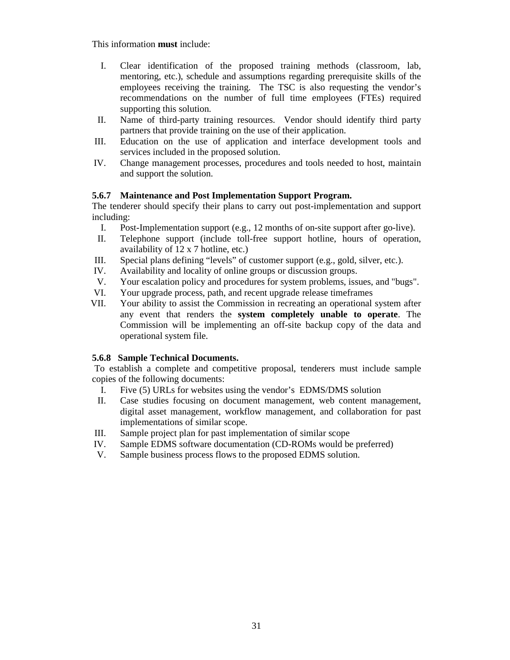This information **must** include:

- I. Clear identification of the proposed training methods (classroom, lab, mentoring, etc.), schedule and assumptions regarding prerequisite skills of the employees receiving the training. The TSC is also requesting the vendor's recommendations on the number of full time employees (FTEs) required supporting this solution.
- II. Name of third-party training resources. Vendor should identify third party partners that provide training on the use of their application.
- III. Education on the use of application and interface development tools and services included in the proposed solution.
- IV. Change management processes, procedures and tools needed to host, maintain and support the solution.

## **5.6.7 Maintenance and Post Implementation Support Program.**

The tenderer should specify their plans to carry out post-implementation and support including:

- I. Post-Implementation support (e.g., 12 months of on-site support after go-live).
- II. Telephone support (include toll-free support hotline, hours of operation, availability of 12 x 7 hotline, etc.)
- III. Special plans defining "levels" of customer support (e.g., gold, silver, etc.).
- IV. Availability and locality of online groups or discussion groups.
- V. Your escalation policy and procedures for system problems, issues, and "bugs".
- VI. Your upgrade process, path, and recent upgrade release timeframes
- VII. Your ability to assist the Commission in recreating an operational system after any event that renders the **system completely unable to operate**. The Commission will be implementing an off-site backup copy of the data and operational system file.

#### **5.6.8 Sample Technical Documents.**

 To establish a complete and competitive proposal, tenderers must include sample copies of the following documents:

- I. Five (5) URLs for websites using the vendor's EDMS/DMS solution
- II. Case studies focusing on document management, web content management, digital asset management, workflow management, and collaboration for past implementations of similar scope.
- III. Sample project plan for past implementation of similar scope
- IV. Sample EDMS software documentation (CD-ROMs would be preferred)
- V. Sample business process flows to the proposed EDMS solution.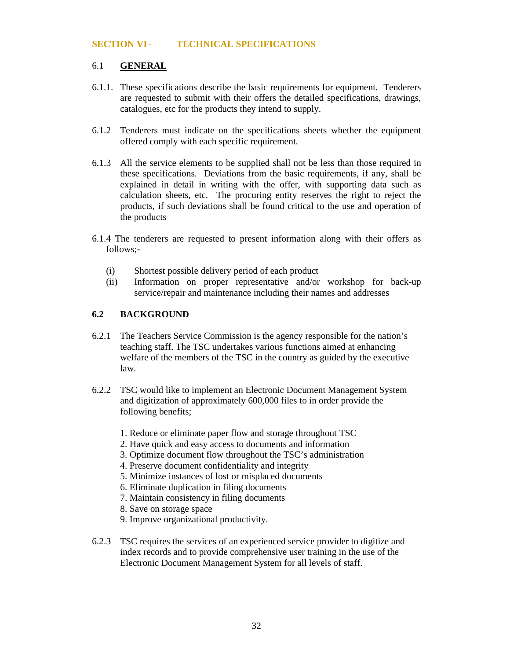#### **SECTION VI- TECHNICAL SPECIFICATIONS**

#### 6.1 **GENERAL**

- 6.1.1. These specifications describe the basic requirements for equipment. Tenderers are requested to submit with their offers the detailed specifications, drawings, catalogues, etc for the products they intend to supply.
- 6.1.2 Tenderers must indicate on the specifications sheets whether the equipment offered comply with each specific requirement.
- 6.1.3 All the service elements to be supplied shall not be less than those required in these specifications. Deviations from the basic requirements, if any, shall be explained in detail in writing with the offer, with supporting data such as calculation sheets, etc. The procuring entity reserves the right to reject the products, if such deviations shall be found critical to the use and operation of the products
- 6.1.4 The tenderers are requested to present information along with their offers as follows;-
	- (i) Shortest possible delivery period of each product
	- (ii) Information on proper representative and/or workshop for back-up service/repair and maintenance including their names and addresses

#### **6.2 BACKGROUND**

- 6.2.1 The Teachers Service Commission is the agency responsible for the nation's teaching staff. The TSC undertakes various functions aimed at enhancing welfare of the members of the TSC in the country as guided by the executive law.
- 6.2.2 TSC would like to implement an Electronic Document Management System and digitization of approximately 600,000 files to in order provide the following benefits;
	- 1. Reduce or eliminate paper flow and storage throughout TSC
	- 2. Have quick and easy access to documents and information
	- 3. Optimize document flow throughout the TSC's administration
	- 4. Preserve document confidentiality and integrity
	- 5. Minimize instances of lost or misplaced documents
	- 6. Eliminate duplication in filing documents
	- 7. Maintain consistency in filing documents
	- 8. Save on storage space
	- 9. Improve organizational productivity.
- 6.2.3 TSC requires the services of an experienced service provider to digitize and index records and to provide comprehensive user training in the use of the Electronic Document Management System for all levels of staff.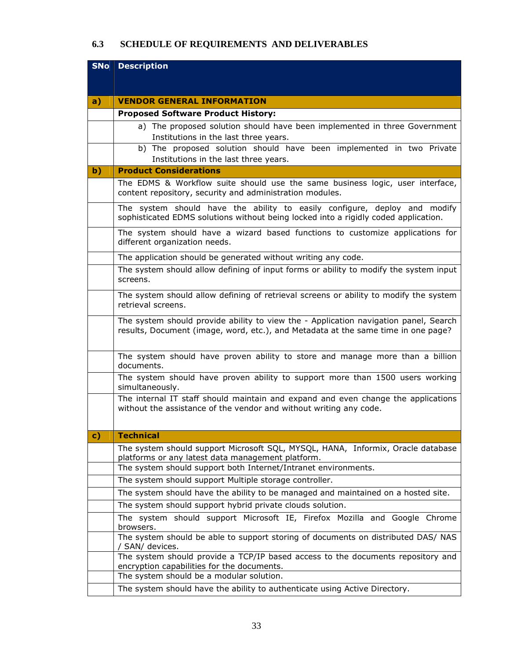# **6.3 SCHEDULE OF REQUIREMENTS AND DELIVERABLES**

| <b>SNo</b> | <b>Description</b>                                                                                                                                                        |
|------------|---------------------------------------------------------------------------------------------------------------------------------------------------------------------------|
|            |                                                                                                                                                                           |
|            |                                                                                                                                                                           |
| a)         | <b>VENDOR GENERAL INFORMATION</b>                                                                                                                                         |
|            | <b>Proposed Software Product History:</b>                                                                                                                                 |
|            | a) The proposed solution should have been implemented in three Government                                                                                                 |
|            | Institutions in the last three years.<br>b) The proposed solution should have been implemented in two Private                                                             |
|            | Institutions in the last three years.                                                                                                                                     |
| b)         | <b>Product Considerations</b>                                                                                                                                             |
|            | The EDMS & Workflow suite should use the same business logic, user interface,                                                                                             |
|            | content repository, security and administration modules.                                                                                                                  |
|            | The system should have the ability to easily configure, deploy and modify<br>sophisticated EDMS solutions without being locked into a rigidly coded application.          |
|            | The system should have a wizard based functions to customize applications for<br>different organization needs.                                                            |
|            | The application should be generated without writing any code.                                                                                                             |
|            | The system should allow defining of input forms or ability to modify the system input<br>screens.                                                                         |
|            | The system should allow defining of retrieval screens or ability to modify the system<br>retrieval screens.                                                               |
|            | The system should provide ability to view the - Application navigation panel, Search<br>results, Document (image, word, etc.), and Metadata at the same time in one page? |
|            | The system should have proven ability to store and manage more than a billion<br>documents.                                                                               |
|            | The system should have proven ability to support more than 1500 users working<br>simultaneously.                                                                          |
|            | The internal IT staff should maintain and expand and even change the applications<br>without the assistance of the vendor and without writing any code.                   |
| C)         | <b>Technical</b>                                                                                                                                                          |
|            | The system should support Microsoft SQL, MYSQL, HANA, Informix, Oracle database<br>platforms or any latest data management platform.                                      |
|            | The system should support both Internet/Intranet environments.                                                                                                            |
|            | The system should support Multiple storage controller.                                                                                                                    |
|            | The system should have the ability to be managed and maintained on a hosted site.                                                                                         |
|            | The system should support hybrid private clouds solution.                                                                                                                 |
|            | The system should support Microsoft IE, Firefox Mozilla and Google Chrome<br>browsers.                                                                                    |
|            | The system should be able to support storing of documents on distributed DAS/NAS<br>SAN/ devices.                                                                         |
|            | The system should provide a TCP/IP based access to the documents repository and<br>encryption capabilities for the documents.                                             |
|            | The system should be a modular solution.                                                                                                                                  |
|            | The system should have the ability to authenticate using Active Directory.                                                                                                |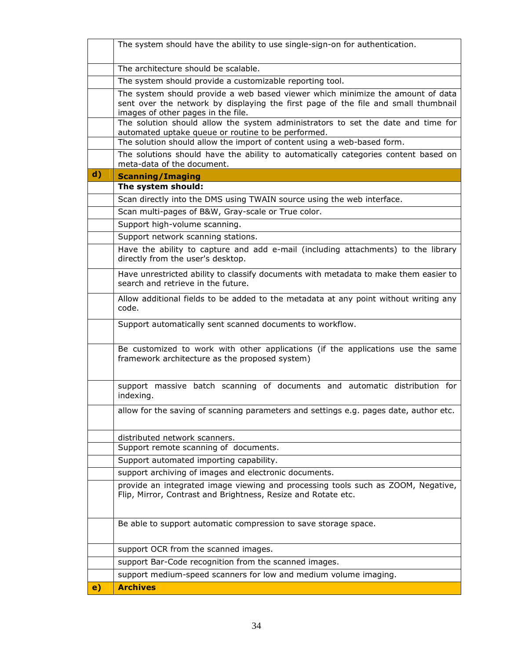|              | The system should have the ability to use single-sign-on for authentication.                                                                                                                                      |
|--------------|-------------------------------------------------------------------------------------------------------------------------------------------------------------------------------------------------------------------|
|              | The architecture should be scalable.                                                                                                                                                                              |
|              | The system should provide a customizable reporting tool.                                                                                                                                                          |
|              | The system should provide a web based viewer which minimize the amount of data<br>sent over the network by displaying the first page of the file and small thumbnail<br>images of other pages in the file.        |
|              | The solution should allow the system administrators to set the date and time for<br>automated uptake queue or routine to be performed.<br>The solution should allow the import of content using a web-based form. |
|              | The solutions should have the ability to automatically categories content based on<br>meta-data of the document.                                                                                                  |
| $\mathbf{d}$ | <b>Scanning/Imaging</b>                                                                                                                                                                                           |
|              | The system should:                                                                                                                                                                                                |
|              | Scan directly into the DMS using TWAIN source using the web interface.                                                                                                                                            |
|              | Scan multi-pages of B&W, Gray-scale or True color.                                                                                                                                                                |
|              | Support high-volume scanning.                                                                                                                                                                                     |
|              | Support network scanning stations.                                                                                                                                                                                |
|              | Have the ability to capture and add e-mail (including attachments) to the library<br>directly from the user's desktop.                                                                                            |
|              | Have unrestricted ability to classify documents with metadata to make them easier to<br>search and retrieve in the future.                                                                                        |
|              | Allow additional fields to be added to the metadata at any point without writing any<br>code.                                                                                                                     |
|              | Support automatically sent scanned documents to workflow.                                                                                                                                                         |
|              | Be customized to work with other applications (if the applications use the same<br>framework architecture as the proposed system)                                                                                 |
|              | support massive batch scanning of documents and automatic distribution for<br>indexing.                                                                                                                           |
|              | allow for the saving of scanning parameters and settings e.g. pages date, author etc.                                                                                                                             |
|              | distributed network scanners.<br>Support remote scanning of documents.                                                                                                                                            |
|              | Support automated importing capability.                                                                                                                                                                           |
|              | support archiving of images and electronic documents.                                                                                                                                                             |
|              | provide an integrated image viewing and processing tools such as ZOOM, Negative,<br>Flip, Mirror, Contrast and Brightness, Resize and Rotate etc.                                                                 |
|              | Be able to support automatic compression to save storage space.                                                                                                                                                   |
|              | support OCR from the scanned images.                                                                                                                                                                              |
|              | support Bar-Code recognition from the scanned images.                                                                                                                                                             |
|              | support medium-speed scanners for low and medium volume imaging.                                                                                                                                                  |
| $\mathbf{e}$ | <b>Archives</b>                                                                                                                                                                                                   |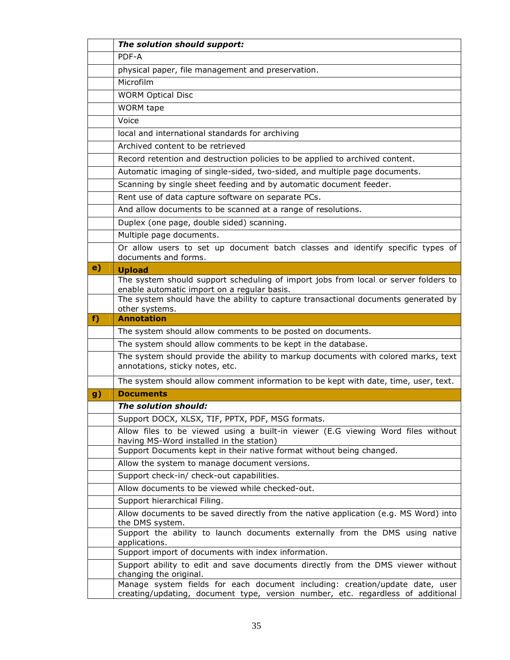|    | The solution should support:                                                                                                                                    |
|----|-----------------------------------------------------------------------------------------------------------------------------------------------------------------|
|    | PDF-A                                                                                                                                                           |
|    | physical paper, file management and preservation.                                                                                                               |
|    | Microfilm                                                                                                                                                       |
|    | <b>WORM Optical Disc</b>                                                                                                                                        |
|    | <b>WORM</b> tape                                                                                                                                                |
|    | Voice                                                                                                                                                           |
|    | local and international standards for archiving                                                                                                                 |
|    | Archived content to be retrieved                                                                                                                                |
|    | Record retention and destruction policies to be applied to archived content.                                                                                    |
|    | Automatic imaging of single-sided, two-sided, and multiple page documents.                                                                                      |
|    | Scanning by single sheet feeding and by automatic document feeder.                                                                                              |
|    | Rent use of data capture software on separate PCs.                                                                                                              |
|    | And allow documents to be scanned at a range of resolutions.                                                                                                    |
|    | Duplex (one page, double sided) scanning.                                                                                                                       |
|    | Multiple page documents.                                                                                                                                        |
|    | Or allow users to set up document batch classes and identify specific types of<br>documents and forms.                                                          |
| e) | <b>Upload</b>                                                                                                                                                   |
|    | The system should support scheduling of import jobs from local or server folders to<br>enable automatic import on a regular basis.                              |
|    | The system should have the ability to capture transactional documents generated by<br>other systems.                                                            |
| f  | <b>Annotation</b>                                                                                                                                               |
|    | The system should allow comments to be posted on documents.                                                                                                     |
|    | The system should allow comments to be kept in the database.                                                                                                    |
|    | The system should provide the ability to markup documents with colored marks, text<br>annotations, sticky notes, etc.                                           |
|    | The system should allow comment information to be kept with date, time, user, text.                                                                             |
| g) | <b>Documents</b>                                                                                                                                                |
|    | The solution should:                                                                                                                                            |
|    | Support DOCX, XLSX, TIF, PPTX, PDF, MSG formats.                                                                                                                |
|    | Allow files to be viewed using a built-in viewer (E.G viewing Word files without<br>having MS-Word installed in the station)                                    |
|    | Support Documents kept in their native format without being changed.                                                                                            |
|    | Allow the system to manage document versions.                                                                                                                   |
|    | Support check-in/ check-out capabilities.                                                                                                                       |
|    | Allow documents to be viewed while checked-out.                                                                                                                 |
|    | Support hierarchical Filing.                                                                                                                                    |
|    | Allow documents to be saved directly from the native application (e.g. MS Word) into<br>the DMS system.                                                         |
|    | Support the ability to launch documents externally from the DMS using native<br>applications.                                                                   |
|    | Support import of documents with index information.                                                                                                             |
|    | Support ability to edit and save documents directly from the DMS viewer without<br>changing the original.                                                       |
|    | Manage system fields for each document including: creation/update date, user<br>creating/updating, document type, version number, etc. regardless of additional |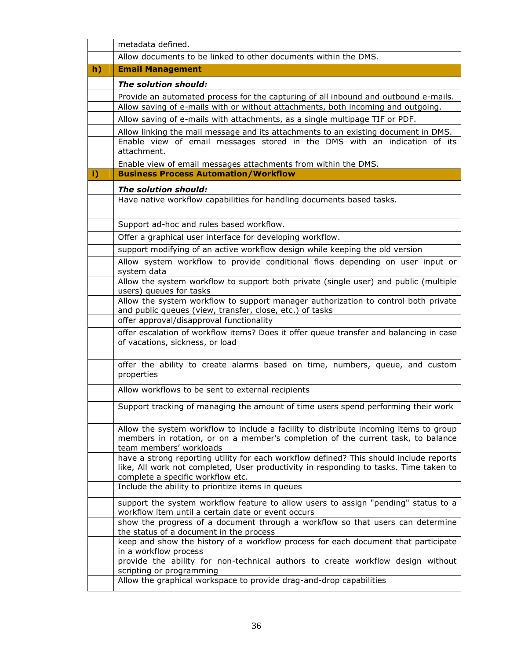|    | metadata defined.                                                                                                                                                                                                    |
|----|----------------------------------------------------------------------------------------------------------------------------------------------------------------------------------------------------------------------|
|    | Allow documents to be linked to other documents within the DMS.                                                                                                                                                      |
| h) | <b>Email Management</b>                                                                                                                                                                                              |
|    | The solution should:                                                                                                                                                                                                 |
|    | Provide an automated process for the capturing of all inbound and outbound e-mails.                                                                                                                                  |
|    | Allow saving of e-mails with or without attachments, both incoming and outgoing.                                                                                                                                     |
|    | Allow saving of e-mails with attachments, as a single multipage TIF or PDF.                                                                                                                                          |
|    | Allow linking the mail message and its attachments to an existing document in DMS.                                                                                                                                   |
|    | Enable view of email messages stored in the DMS with an indication of its<br>attachment.                                                                                                                             |
|    | Enable view of email messages attachments from within the DMS.                                                                                                                                                       |
| i) | <b>Business Process Automation/Workflow</b>                                                                                                                                                                          |
|    | The solution should:                                                                                                                                                                                                 |
|    | Have native workflow capabilities for handling documents based tasks.                                                                                                                                                |
|    | Support ad-hoc and rules based workflow.                                                                                                                                                                             |
|    | Offer a graphical user interface for developing workflow.                                                                                                                                                            |
|    | support modifying of an active workflow design while keeping the old version                                                                                                                                         |
|    | Allow system workflow to provide conditional flows depending on user input or                                                                                                                                        |
|    | system data                                                                                                                                                                                                          |
|    | Allow the system workflow to support both private (single user) and public (multiple<br>users) queues for tasks                                                                                                      |
|    | Allow the system workflow to support manager authorization to control both private<br>and public queues (view, transfer, close, etc.) of tasks                                                                       |
|    | offer approval/disapproval functionality                                                                                                                                                                             |
|    | offer escalation of workflow items? Does it offer queue transfer and balancing in case<br>of vacations, sickness, or load                                                                                            |
|    | offer the ability to create alarms based on time, numbers, queue, and custom<br>properties                                                                                                                           |
|    | Allow workflows to be sent to external recipients                                                                                                                                                                    |
|    | Support tracking of managing the amount of time users spend performing their work                                                                                                                                    |
|    | Allow the system workflow to include a facility to distribute incoming items to group<br>members in rotation, or on a member's completion of the current task, to balance<br>team members' workloads                 |
|    | have a strong reporting utility for each workflow defined? This should include reports<br>like, All work not completed, User productivity in responding to tasks. Time taken to<br>complete a specific workflow etc. |
|    | Include the ability to prioritize items in queues                                                                                                                                                                    |
|    | support the system workflow feature to allow users to assign "pending" status to a<br>workflow item until a certain date or event occurs                                                                             |
|    | show the progress of a document through a workflow so that users can determine<br>the status of a document in the process                                                                                            |
|    | keep and show the history of a workflow process for each document that participate<br>in a workflow process                                                                                                          |
|    | provide the ability for non-technical authors to create workflow design without<br>scripting or programming                                                                                                          |
|    | Allow the graphical workspace to provide drag-and-drop capabilities                                                                                                                                                  |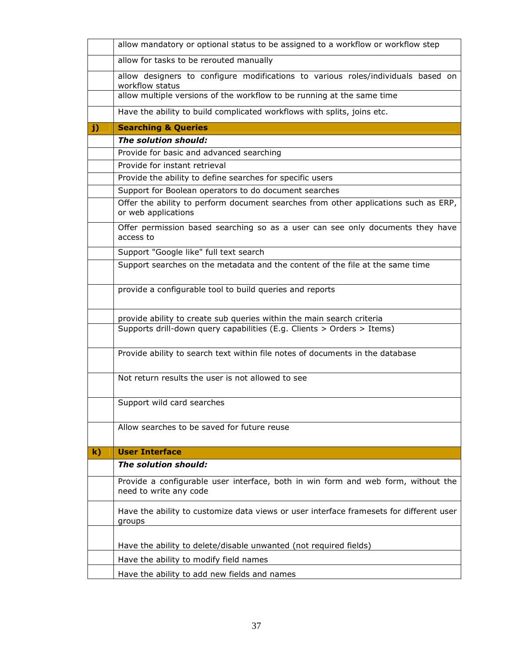|              | allow mandatory or optional status to be assigned to a workflow or workflow step                            |
|--------------|-------------------------------------------------------------------------------------------------------------|
|              | allow for tasks to be rerouted manually                                                                     |
|              | allow designers to configure modifications to various roles/individuals based on                            |
|              | workflow status                                                                                             |
|              | allow multiple versions of the workflow to be running at the same time                                      |
|              | Have the ability to build complicated workflows with splits, joins etc.                                     |
| $\mathbf{j}$ | <b>Searching &amp; Queries</b>                                                                              |
|              | The solution should:                                                                                        |
|              | Provide for basic and advanced searching                                                                    |
|              | Provide for instant retrieval                                                                               |
|              | Provide the ability to define searches for specific users                                                   |
|              | Support for Boolean operators to do document searches                                                       |
|              | Offer the ability to perform document searches from other applications such as ERP,<br>or web applications  |
|              | Offer permission based searching so as a user can see only documents they have<br>access to                 |
|              | Support "Google like" full text search                                                                      |
|              | Support searches on the metadata and the content of the file at the same time                               |
|              | provide a configurable tool to build queries and reports                                                    |
|              | provide ability to create sub queries within the main search criteria                                       |
|              | Supports drill-down query capabilities (E.g. Clients > Orders > Items)                                      |
|              | Provide ability to search text within file notes of documents in the database                               |
|              | Not return results the user is not allowed to see                                                           |
|              | Support wild card searches                                                                                  |
|              | Allow searches to be saved for future reuse                                                                 |
| $\mathbf{k}$ | <b>User Interface</b>                                                                                       |
|              | The solution should:                                                                                        |
|              | Provide a configurable user interface, both in win form and web form, without the<br>need to write any code |
|              | Have the ability to customize data views or user interface framesets for different user<br>groups           |
|              | Have the ability to delete/disable unwanted (not required fields)                                           |
|              |                                                                                                             |
|              | Have the ability to modify field names                                                                      |
|              | Have the ability to add new fields and names                                                                |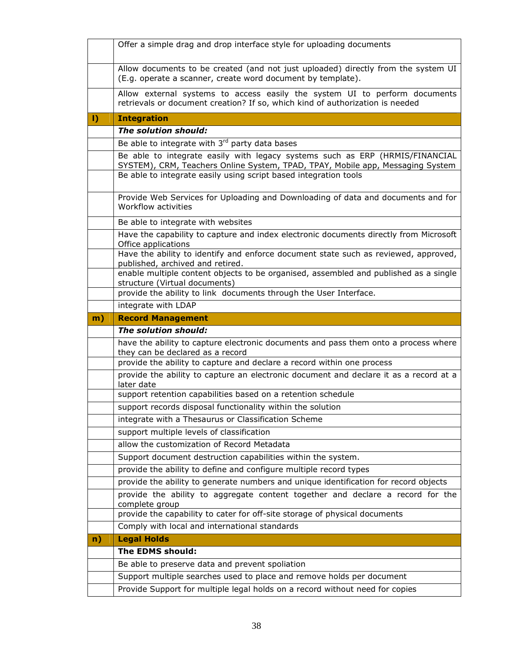|    | Offer a simple drag and drop interface style for uploading documents                                                                                                                                                               |
|----|------------------------------------------------------------------------------------------------------------------------------------------------------------------------------------------------------------------------------------|
|    | Allow documents to be created (and not just uploaded) directly from the system UI<br>(E.g. operate a scanner, create word document by template).                                                                                   |
|    | Allow external systems to access easily the system UI to perform documents<br>retrievals or document creation? If so, which kind of authorization is needed                                                                        |
| I) | <b>Integration</b>                                                                                                                                                                                                                 |
|    | The solution should:                                                                                                                                                                                                               |
|    | Be able to integrate with 3rd party data bases                                                                                                                                                                                     |
|    | Be able to integrate easily with legacy systems such as ERP (HRMIS/FINANCIAL<br>SYSTEM), CRM, Teachers Online System, TPAD, TPAY, Mobile app, Messaging System<br>Be able to integrate easily using script based integration tools |
|    | Provide Web Services for Uploading and Downloading of data and documents and for<br>Workflow activities                                                                                                                            |
|    | Be able to integrate with websites                                                                                                                                                                                                 |
|    | Have the capability to capture and index electronic documents directly from Microsoft<br>Office applications                                                                                                                       |
|    | Have the ability to identify and enforce document state such as reviewed, approved,<br>published, archived and retired.                                                                                                            |
|    | enable multiple content objects to be organised, assembled and published as a single<br>structure (Virtual documents)                                                                                                              |
|    | provide the ability to link documents through the User Interface.                                                                                                                                                                  |
|    | integrate with LDAP                                                                                                                                                                                                                |
| m) | <b>Record Management</b>                                                                                                                                                                                                           |
|    |                                                                                                                                                                                                                                    |
|    | The solution should:                                                                                                                                                                                                               |
|    | have the ability to capture electronic documents and pass them onto a process where<br>they can be declared as a record                                                                                                            |
|    | provide the ability to capture and declare a record within one process                                                                                                                                                             |
|    | provide the ability to capture an electronic document and declare it as a record at a<br>later date                                                                                                                                |
|    | support retention capabilities based on a retention schedule                                                                                                                                                                       |
|    | support records disposal functionality within the solution                                                                                                                                                                         |
|    | integrate with a Thesaurus or Classification Scheme                                                                                                                                                                                |
|    | support multiple levels of classification                                                                                                                                                                                          |
|    | allow the customization of Record Metadata                                                                                                                                                                                         |
|    | Support document destruction capabilities within the system.                                                                                                                                                                       |
|    | provide the ability to define and configure multiple record types                                                                                                                                                                  |
|    | provide the ability to generate numbers and unique identification for record objects                                                                                                                                               |
|    | provide the ability to aggregate content together and declare a record for the<br>complete group                                                                                                                                   |
|    | provide the capability to cater for off-site storage of physical documents                                                                                                                                                         |
|    | Comply with local and international standards                                                                                                                                                                                      |
| n) | <b>Legal Holds</b>                                                                                                                                                                                                                 |
|    | The EDMS should:                                                                                                                                                                                                                   |
|    | Be able to preserve data and prevent spoliation                                                                                                                                                                                    |
|    | Support multiple searches used to place and remove holds per document<br>Provide Support for multiple legal holds on a record without need for copies                                                                              |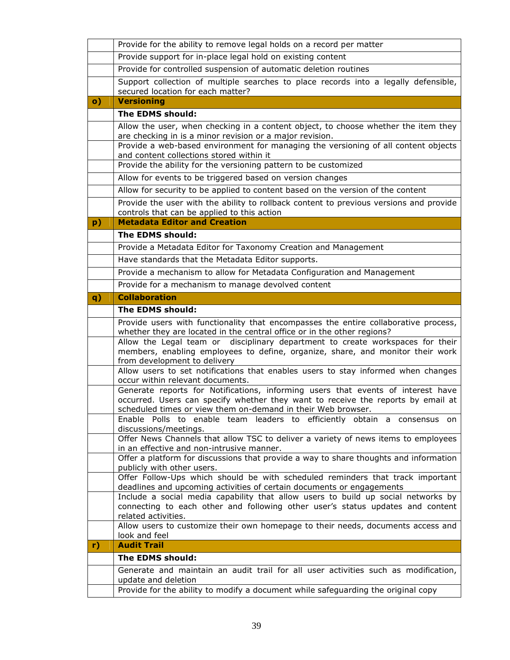|               | Provide for the ability to remove legal holds on a record per matter                                                                                                                           |
|---------------|------------------------------------------------------------------------------------------------------------------------------------------------------------------------------------------------|
|               | Provide support for in-place legal hold on existing content                                                                                                                                    |
|               | Provide for controlled suspension of automatic deletion routines                                                                                                                               |
|               | Support collection of multiple searches to place records into a legally defensible,<br>secured location for each matter?                                                                       |
| $\mathbf{o})$ | <b>Versioning</b>                                                                                                                                                                              |
|               | The EDMS should:                                                                                                                                                                               |
|               | Allow the user, when checking in a content object, to choose whether the item they<br>are checking in is a minor revision or a major revision.                                                 |
|               | Provide a web-based environment for managing the versioning of all content objects<br>and content collections stored within it                                                                 |
|               | Provide the ability for the versioning pattern to be customized                                                                                                                                |
|               | Allow for events to be triggered based on version changes                                                                                                                                      |
|               | Allow for security to be applied to content based on the version of the content                                                                                                                |
|               | Provide the user with the ability to rollback content to previous versions and provide<br>controls that can be applied to this action                                                          |
| p)            | <b>Metadata Editor and Creation</b>                                                                                                                                                            |
|               | The EDMS should:                                                                                                                                                                               |
|               | Provide a Metadata Editor for Taxonomy Creation and Management                                                                                                                                 |
|               | Have standards that the Metadata Editor supports.                                                                                                                                              |
|               | Provide a mechanism to allow for Metadata Configuration and Management                                                                                                                         |
|               | Provide for a mechanism to manage devolved content                                                                                                                                             |
| q)            | <b>Collaboration</b>                                                                                                                                                                           |
|               | The EDMS should:                                                                                                                                                                               |
|               |                                                                                                                                                                                                |
|               | Provide users with functionality that encompasses the entire collaborative process,<br>whether they are located in the central office or in the other regions?                                 |
|               | Allow the Legal team or disciplinary department to create workspaces for their<br>members, enabling employees to define, organize, share, and monitor their work                               |
|               | from development to delivery<br>Allow users to set notifications that enables users to stay informed when changes<br>occur within relevant documents.                                          |
|               | Generate reports for Notifications, informing users that events of interest have<br>occurred. Users can specify whether they want to receive the reports by email at                           |
|               | scheduled times or view them on-demand in their Web browser.<br>Enable Polls to enable team leaders to efficiently obtain a consensus on<br>discussions/meetings.                              |
|               | Offer News Channels that allow TSC to deliver a variety of news items to employees<br>in an effective and non-intrusive manner.                                                                |
|               | Offer a platform for discussions that provide a way to share thoughts and information                                                                                                          |
|               | publicly with other users.                                                                                                                                                                     |
|               | Offer Follow-Ups which should be with scheduled reminders that track important<br>deadlines and upcoming activities of certain documents or engagements                                        |
|               | Include a social media capability that allow users to build up social networks by<br>connecting to each other and following other user's status updates and content                            |
|               | related activities.<br>Allow users to customize their own homepage to their needs, documents access and                                                                                        |
| r)            | look and feel<br><b>Audit Trail</b>                                                                                                                                                            |
|               | The EDMS should:                                                                                                                                                                               |
|               | Generate and maintain an audit trail for all user activities such as modification,<br>update and deletion<br>Provide for the ability to modify a document while safeguarding the original copy |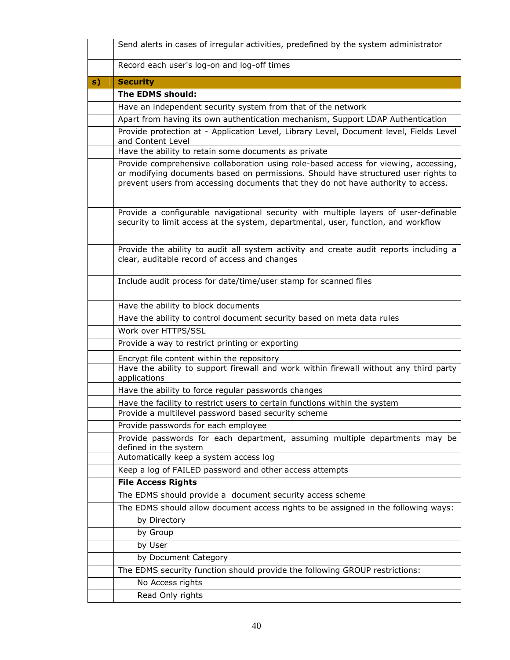|    | Send alerts in cases of irregular activities, predefined by the system administrator                                                                                                                                                                           |  |  |  |  |
|----|----------------------------------------------------------------------------------------------------------------------------------------------------------------------------------------------------------------------------------------------------------------|--|--|--|--|
|    | Record each user's log-on and log-off times                                                                                                                                                                                                                    |  |  |  |  |
| s) | <b>Security</b>                                                                                                                                                                                                                                                |  |  |  |  |
|    | The EDMS should:                                                                                                                                                                                                                                               |  |  |  |  |
|    | Have an independent security system from that of the network                                                                                                                                                                                                   |  |  |  |  |
|    | Apart from having its own authentication mechanism, Support LDAP Authentication                                                                                                                                                                                |  |  |  |  |
|    | Provide protection at - Application Level, Library Level, Document level, Fields Level<br>and Content Level                                                                                                                                                    |  |  |  |  |
|    | Have the ability to retain some documents as private                                                                                                                                                                                                           |  |  |  |  |
|    | Provide comprehensive collaboration using role-based access for viewing, accessing,<br>or modifying documents based on permissions. Should have structured user rights to<br>prevent users from accessing documents that they do not have authority to access. |  |  |  |  |
|    | Provide a configurable navigational security with multiple layers of user-definable<br>security to limit access at the system, departmental, user, function, and workflow                                                                                      |  |  |  |  |
|    | Provide the ability to audit all system activity and create audit reports including a<br>clear, auditable record of access and changes                                                                                                                         |  |  |  |  |
|    | Include audit process for date/time/user stamp for scanned files                                                                                                                                                                                               |  |  |  |  |
|    | Have the ability to block documents                                                                                                                                                                                                                            |  |  |  |  |
|    | Have the ability to control document security based on meta data rules                                                                                                                                                                                         |  |  |  |  |
|    | Work over HTTPS/SSL                                                                                                                                                                                                                                            |  |  |  |  |
|    | Provide a way to restrict printing or exporting                                                                                                                                                                                                                |  |  |  |  |
|    | Encrypt file content within the repository                                                                                                                                                                                                                     |  |  |  |  |
|    | Have the ability to support firewall and work within firewall without any third party<br>applications                                                                                                                                                          |  |  |  |  |
|    | Have the ability to force regular passwords changes                                                                                                                                                                                                            |  |  |  |  |
|    | Have the facility to restrict users to certain functions within the system                                                                                                                                                                                     |  |  |  |  |
|    | Provide a multilevel password based security scheme                                                                                                                                                                                                            |  |  |  |  |
|    | Provide passwords for each employee                                                                                                                                                                                                                            |  |  |  |  |
|    | Provide passwords for each department, assuming multiple departments may be<br>defined in the system                                                                                                                                                           |  |  |  |  |
|    | Automatically keep a system access log                                                                                                                                                                                                                         |  |  |  |  |
|    | Keep a log of FAILED password and other access attempts                                                                                                                                                                                                        |  |  |  |  |
|    | <b>File Access Rights</b>                                                                                                                                                                                                                                      |  |  |  |  |
|    | The EDMS should provide a document security access scheme                                                                                                                                                                                                      |  |  |  |  |
|    | The EDMS should allow document access rights to be assigned in the following ways:                                                                                                                                                                             |  |  |  |  |
|    | by Directory                                                                                                                                                                                                                                                   |  |  |  |  |
|    | by Group                                                                                                                                                                                                                                                       |  |  |  |  |
|    | by User                                                                                                                                                                                                                                                        |  |  |  |  |
|    | by Document Category                                                                                                                                                                                                                                           |  |  |  |  |
|    | The EDMS security function should provide the following GROUP restrictions:                                                                                                                                                                                    |  |  |  |  |
|    | No Access rights                                                                                                                                                                                                                                               |  |  |  |  |
|    | Read Only rights                                                                                                                                                                                                                                               |  |  |  |  |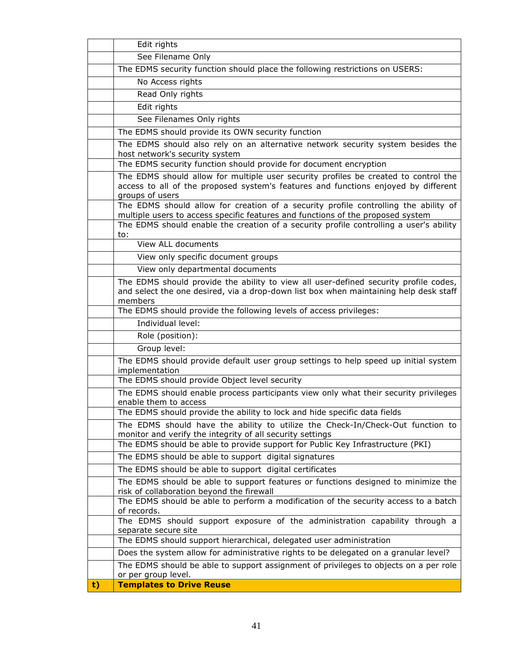|    | Edit rights                                                                                                                                 |
|----|---------------------------------------------------------------------------------------------------------------------------------------------|
|    | See Filename Only                                                                                                                           |
|    | The EDMS security function should place the following restrictions on USERS:                                                                |
|    | No Access rights                                                                                                                            |
|    | Read Only rights                                                                                                                            |
|    | Edit rights                                                                                                                                 |
|    | See Filenames Only rights                                                                                                                   |
|    | The EDMS should provide its OWN security function                                                                                           |
|    | The EDMS should also rely on an alternative network security system besides the                                                             |
|    | host network's security system                                                                                                              |
|    | The EDMS security function should provide for document encryption                                                                           |
|    | The EDMS should allow for multiple user security profiles be created to control the                                                         |
|    | access to all of the proposed system's features and functions enjoyed by different<br>groups of users                                       |
|    | The EDMS should allow for creation of a security profile controlling the ability of                                                         |
|    | multiple users to access specific features and functions of the proposed system                                                             |
|    | The EDMS should enable the creation of a security profile controlling a user's ability<br>to:                                               |
|    | View ALL documents                                                                                                                          |
|    | View only specific document groups                                                                                                          |
|    | View only departmental documents                                                                                                            |
|    | The EDMS should provide the ability to view all user-defined security profile codes,                                                        |
|    | and select the one desired, via a drop-down list box when maintaining help desk staff                                                       |
|    | members                                                                                                                                     |
|    | The EDMS should provide the following levels of access privileges:                                                                          |
|    | Individual level:                                                                                                                           |
|    | Role (position):                                                                                                                            |
|    | Group level:                                                                                                                                |
|    | The EDMS should provide default user group settings to help speed up initial system                                                         |
|    | implementation<br>The EDMS should provide Object level security                                                                             |
|    | The EDMS should enable process participants view only what their security privileges                                                        |
|    | enable them to access                                                                                                                       |
|    | The EDMS should provide the ability to lock and hide specific data fields                                                                   |
|    | The EDMS should have the ability to utilize the Check-In/Check-Out function to                                                              |
|    | monitor and verify the integrity of all security settings<br>The EDMS should be able to provide support for Public Key Infrastructure (PKI) |
|    | The EDMS should be able to support digital signatures                                                                                       |
|    | The EDMS should be able to support digital certificates                                                                                     |
|    | The EDMS should be able to support features or functions designed to minimize the                                                           |
|    | risk of collaboration beyond the firewall                                                                                                   |
|    | The EDMS should be able to perform a modification of the security access to a batch                                                         |
|    | of records.                                                                                                                                 |
|    | The EDMS should support exposure of the administration capability through a<br>separate secure site                                         |
|    | The EDMS should support hierarchical, delegated user administration                                                                         |
|    | Does the system allow for administrative rights to be delegated on a granular level?                                                        |
|    | The EDMS should be able to support assignment of privileges to objects on a per role                                                        |
|    | or per group level.                                                                                                                         |
| t) | <b>Templates to Drive Reuse</b>                                                                                                             |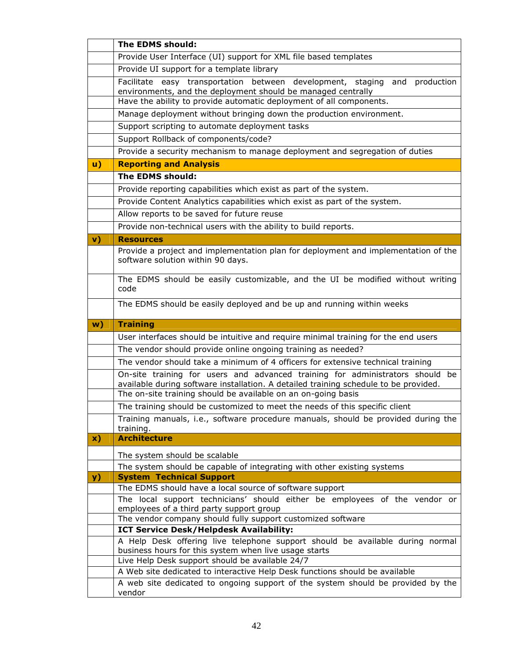|            | The EDMS should:                                                                                                                                               |  |  |  |  |
|------------|----------------------------------------------------------------------------------------------------------------------------------------------------------------|--|--|--|--|
|            | Provide User Interface (UI) support for XML file based templates                                                                                               |  |  |  |  |
|            | Provide UI support for a template library                                                                                                                      |  |  |  |  |
|            | Facilitate easy transportation between development, staging<br>production<br>and                                                                               |  |  |  |  |
|            | environments, and the deployment should be managed centrally                                                                                                   |  |  |  |  |
|            | Have the ability to provide automatic deployment of all components.                                                                                            |  |  |  |  |
|            | Manage deployment without bringing down the production environment.                                                                                            |  |  |  |  |
|            | Support scripting to automate deployment tasks                                                                                                                 |  |  |  |  |
|            | Support Rollback of components/code?                                                                                                                           |  |  |  |  |
|            | Provide a security mechanism to manage deployment and segregation of duties                                                                                    |  |  |  |  |
| <b>u</b> ) | <b>Reporting and Analysis</b>                                                                                                                                  |  |  |  |  |
|            | The EDMS should:                                                                                                                                               |  |  |  |  |
|            | Provide reporting capabilities which exist as part of the system.                                                                                              |  |  |  |  |
|            | Provide Content Analytics capabilities which exist as part of the system.                                                                                      |  |  |  |  |
|            | Allow reports to be saved for future reuse                                                                                                                     |  |  |  |  |
|            | Provide non-technical users with the ability to build reports.                                                                                                 |  |  |  |  |
| v)         | <b>Resources</b>                                                                                                                                               |  |  |  |  |
|            | Provide a project and implementation plan for deployment and implementation of the                                                                             |  |  |  |  |
|            | software solution within 90 days.                                                                                                                              |  |  |  |  |
|            |                                                                                                                                                                |  |  |  |  |
|            | The EDMS should be easily customizable, and the UI be modified without writing<br>code                                                                         |  |  |  |  |
|            |                                                                                                                                                                |  |  |  |  |
|            | The EDMS should be easily deployed and be up and running within weeks                                                                                          |  |  |  |  |
|            |                                                                                                                                                                |  |  |  |  |
|            |                                                                                                                                                                |  |  |  |  |
| w)         | <b>Training</b>                                                                                                                                                |  |  |  |  |
|            | User interfaces should be intuitive and require minimal training for the end users                                                                             |  |  |  |  |
|            | The vendor should provide online ongoing training as needed?                                                                                                   |  |  |  |  |
|            | The vendor should take a minimum of 4 officers for extensive technical training                                                                                |  |  |  |  |
|            | On-site training for users and advanced training for administrators should be                                                                                  |  |  |  |  |
|            | available during software installation. A detailed training schedule to be provided.                                                                           |  |  |  |  |
|            | The on-site training should be available on an on-going basis                                                                                                  |  |  |  |  |
|            | The training should be customized to meet the needs of this specific client                                                                                    |  |  |  |  |
|            | Training manuals, i.e., software procedure manuals, should be provided during the<br>training.                                                                 |  |  |  |  |
| x)         | <b>Architecture</b>                                                                                                                                            |  |  |  |  |
|            |                                                                                                                                                                |  |  |  |  |
|            | The system should be scalable                                                                                                                                  |  |  |  |  |
|            | The system should be capable of integrating with other existing systems<br><b>System Technical Support</b>                                                     |  |  |  |  |
| y)         | The EDMS should have a local source of software support                                                                                                        |  |  |  |  |
|            | The local support technicians' should either be employees of the vendor or                                                                                     |  |  |  |  |
|            | employees of a third party support group                                                                                                                       |  |  |  |  |
|            | The vendor company should fully support customized software                                                                                                    |  |  |  |  |
|            | ICT Service Desk/Helpdesk Availability:                                                                                                                        |  |  |  |  |
|            | A Help Desk offering live telephone support should be available during normal                                                                                  |  |  |  |  |
|            | business hours for this system when live usage starts                                                                                                          |  |  |  |  |
|            | Live Help Desk support should be available 24/7                                                                                                                |  |  |  |  |
|            | A Web site dedicated to interactive Help Desk functions should be available<br>A web site dedicated to ongoing support of the system should be provided by the |  |  |  |  |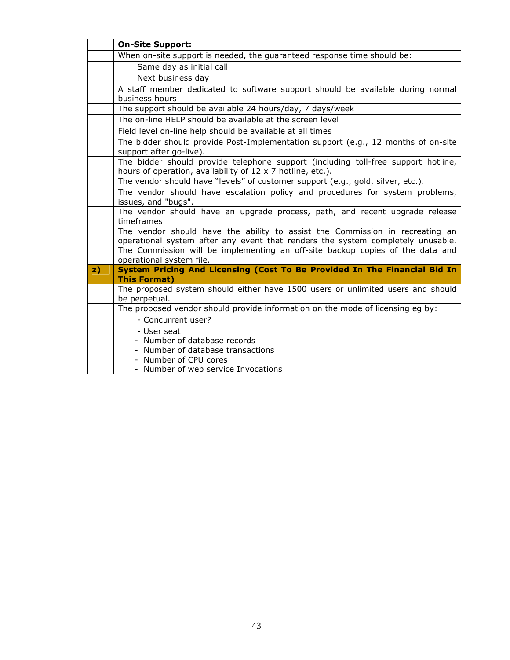|               | <b>On-Site Support:</b>                                                                                                                                                                                                                                                      |  |  |  |  |
|---------------|------------------------------------------------------------------------------------------------------------------------------------------------------------------------------------------------------------------------------------------------------------------------------|--|--|--|--|
|               | When on-site support is needed, the guaranteed response time should be:                                                                                                                                                                                                      |  |  |  |  |
|               | Same day as initial call                                                                                                                                                                                                                                                     |  |  |  |  |
|               | Next business day                                                                                                                                                                                                                                                            |  |  |  |  |
|               | A staff member dedicated to software support should be available during normal                                                                                                                                                                                               |  |  |  |  |
|               | business hours                                                                                                                                                                                                                                                               |  |  |  |  |
|               | The support should be available 24 hours/day, 7 days/week                                                                                                                                                                                                                    |  |  |  |  |
|               | The on-line HELP should be available at the screen level                                                                                                                                                                                                                     |  |  |  |  |
|               | Field level on-line help should be available at all times                                                                                                                                                                                                                    |  |  |  |  |
|               | The bidder should provide Post-Implementation support (e.g., 12 months of on-site<br>support after go-live).                                                                                                                                                                 |  |  |  |  |
|               | The bidder should provide telephone support (including toll-free support hotline,<br>hours of operation, availability of 12 x 7 hotline, etc.).                                                                                                                              |  |  |  |  |
|               | The vendor should have "levels" of customer support (e.g., gold, silver, etc.).                                                                                                                                                                                              |  |  |  |  |
|               | The vendor should have escalation policy and procedures for system problems,<br>issues, and "bugs".                                                                                                                                                                          |  |  |  |  |
|               | The vendor should have an upgrade process, path, and recent upgrade release<br>timeframes                                                                                                                                                                                    |  |  |  |  |
|               | The vendor should have the ability to assist the Commission in recreating an<br>operational system after any event that renders the system completely unusable.<br>The Commission will be implementing an off-site backup copies of the data and<br>operational system file. |  |  |  |  |
| $\mathbf{z})$ | System Pricing And Licensing (Cost To Be Provided In The Financial Bid In                                                                                                                                                                                                    |  |  |  |  |
|               | <b>This Format)</b>                                                                                                                                                                                                                                                          |  |  |  |  |
|               | The proposed system should either have 1500 users or unlimited users and should<br>be perpetual.                                                                                                                                                                             |  |  |  |  |
|               | The proposed vendor should provide information on the mode of licensing eg by:                                                                                                                                                                                               |  |  |  |  |
|               | - Concurrent user?                                                                                                                                                                                                                                                           |  |  |  |  |
|               | - User seat                                                                                                                                                                                                                                                                  |  |  |  |  |
|               | - Number of database records                                                                                                                                                                                                                                                 |  |  |  |  |
|               | - Number of database transactions                                                                                                                                                                                                                                            |  |  |  |  |
|               | Number of CPU cores                                                                                                                                                                                                                                                          |  |  |  |  |
|               | - Number of web service Invocations                                                                                                                                                                                                                                          |  |  |  |  |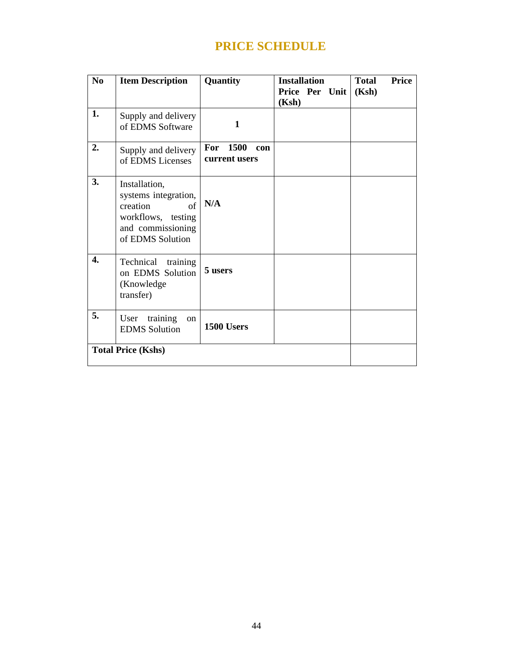# **PRICE SCHEDULE**

| N <sub>0</sub> | <b>Item Description</b>                                                                                                | Quantity                         | <b>Installation</b><br>Price Per Unit<br>(Ksh) | <b>Price</b><br><b>Total</b><br>(Ksh) |
|----------------|------------------------------------------------------------------------------------------------------------------------|----------------------------------|------------------------------------------------|---------------------------------------|
| 1.             | Supply and delivery<br>of EDMS Software                                                                                | 1                                |                                                |                                       |
| 2.             | Supply and delivery<br>of EDMS Licenses                                                                                | For 1500<br>con<br>current users |                                                |                                       |
| 3.             | Installation,<br>systems integration,<br>creation<br>of<br>workflows, testing<br>and commissioning<br>of EDMS Solution | N/A                              |                                                |                                       |
| 4.             | Technical<br>training<br>on EDMS Solution<br>(Knowledge<br>transfer)                                                   | 5 users                          |                                                |                                       |
| 5.             | training<br>User<br>on<br><b>EDMS</b> Solution                                                                         | 1500 Users                       |                                                |                                       |
|                | <b>Total Price (Kshs)</b>                                                                                              |                                  |                                                |                                       |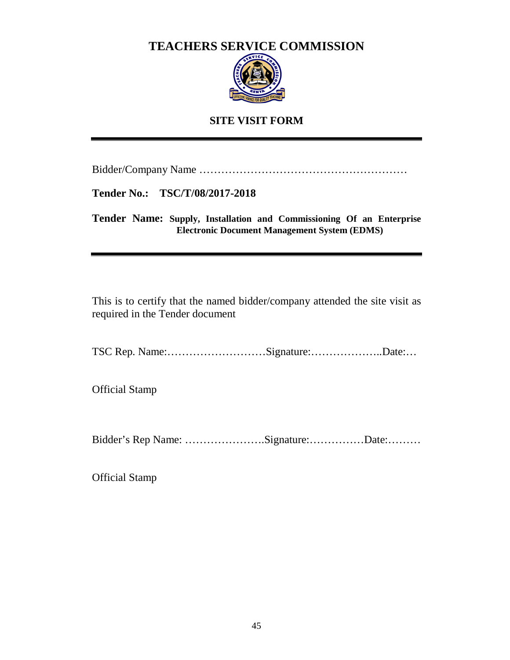# **TEACHERS SERVICE COMMISSION**



# **SITE VISIT FORM**

Bidder/Company Name …………………………………………………

**Tender No.: TSC/T/08/2017-2018** 

**Tender Name: Supply, Installation and Commissioning Of an Enterprise Electronic Document Management System (EDMS)** 

This is to certify that the named bidder/company attended the site visit as required in the Tender document

TSC Rep. Name:………………………Signature:………………..Date:…

Official Stamp

Bidder's Rep Name: ………………….Signature:……………Date:………

Official Stamp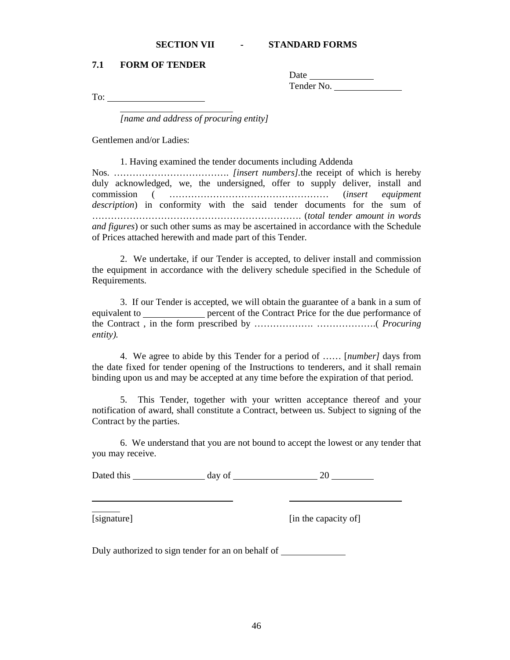#### **SECTION VII - STANDARD FORMS**

#### **7.1 FORM OF TENDER**

Date **Date** Tender No.

To:

*[name and address of procuring entity]* 

Gentlemen and/or Ladies:

 1. Having examined the tender documents including Addenda Nos. ………………………………. *[insert numbers].*the receipt of which is hereby duly acknowledged, we, the undersigned, offer to supply deliver, install and commission ( …………………………………………… (*insert equipment description*) in conformity with the said tender documents for the sum of …………………………………………………………. (*total tender amount in words and figures*) or such other sums as may be ascertained in accordance with the Schedule of Prices attached herewith and made part of this Tender.

 2. We undertake, if our Tender is accepted, to deliver install and commission the equipment in accordance with the delivery schedule specified in the Schedule of Requirements.

 3. If our Tender is accepted, we will obtain the guarantee of a bank in a sum of equivalent to **percent of the Contract Price for the due performance of** the Contract , in the form prescribed by ………………. ……………….( *Procuring entity).* 

 4. We agree to abide by this Tender for a period of …… [*number]* days from the date fixed for tender opening of the Instructions to tenderers, and it shall remain binding upon us and may be accepted at any time before the expiration of that period.

 5. This Tender, together with your written acceptance thereof and your notification of award, shall constitute a Contract, between us. Subject to signing of the Contract by the parties.

 6. We understand that you are not bound to accept the lowest or any tender that you may receive.

Dated this day of 20

 $\overline{a}$ 

[signature] [in the capacity of]

Duly authorized to sign tender for an on behalf of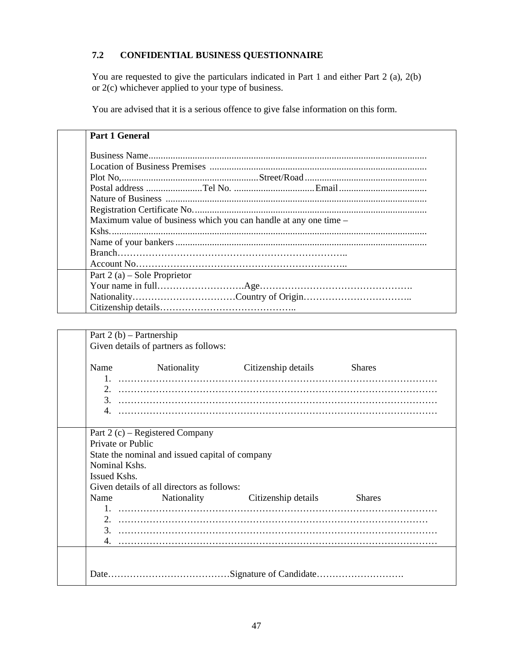## **7.2 CONFIDENTIAL BUSINESS QUESTIONNAIRE**

You are requested to give the particulars indicated in Part 1 and either Part 2 (a), 2(b) or 2(c) whichever applied to your type of business.

You are advised that it is a serious offence to give false information on this form.

| <b>Part 1 General</b>                                            |  |  |  |  |
|------------------------------------------------------------------|--|--|--|--|
|                                                                  |  |  |  |  |
|                                                                  |  |  |  |  |
|                                                                  |  |  |  |  |
|                                                                  |  |  |  |  |
|                                                                  |  |  |  |  |
|                                                                  |  |  |  |  |
| Maximum value of business which you can handle at any one time – |  |  |  |  |
|                                                                  |  |  |  |  |
|                                                                  |  |  |  |  |
|                                                                  |  |  |  |  |
|                                                                  |  |  |  |  |
| Part 2 (a) – Sole Proprietor                                     |  |  |  |  |
|                                                                  |  |  |  |  |
|                                                                  |  |  |  |  |
|                                                                  |  |  |  |  |

| Part 2 (b) – Partnership                        |                                            |                                      |               |  |  |  |
|-------------------------------------------------|--------------------------------------------|--------------------------------------|---------------|--|--|--|
| Given details of partners as follows:           |                                            |                                      |               |  |  |  |
|                                                 |                                            | Name Nationality Citizenship details | <b>Shares</b> |  |  |  |
|                                                 |                                            |                                      |               |  |  |  |
|                                                 |                                            |                                      |               |  |  |  |
| Private or Public                               | Part 2 (c) – Registered Company            |                                      |               |  |  |  |
|                                                 |                                            |                                      |               |  |  |  |
| State the nominal and issued capital of company |                                            |                                      |               |  |  |  |
| Nominal Kshs.                                   |                                            |                                      |               |  |  |  |
| Issued Kshs.                                    |                                            |                                      |               |  |  |  |
|                                                 | Given details of all directors as follows: |                                      |               |  |  |  |
|                                                 |                                            | Name Nationality Citizenship details | <b>Shares</b> |  |  |  |
|                                                 |                                            |                                      |               |  |  |  |
|                                                 |                                            |                                      |               |  |  |  |
|                                                 |                                            |                                      |               |  |  |  |
|                                                 |                                            |                                      |               |  |  |  |
|                                                 |                                            |                                      |               |  |  |  |
|                                                 |                                            |                                      |               |  |  |  |
|                                                 |                                            |                                      |               |  |  |  |
|                                                 |                                            |                                      |               |  |  |  |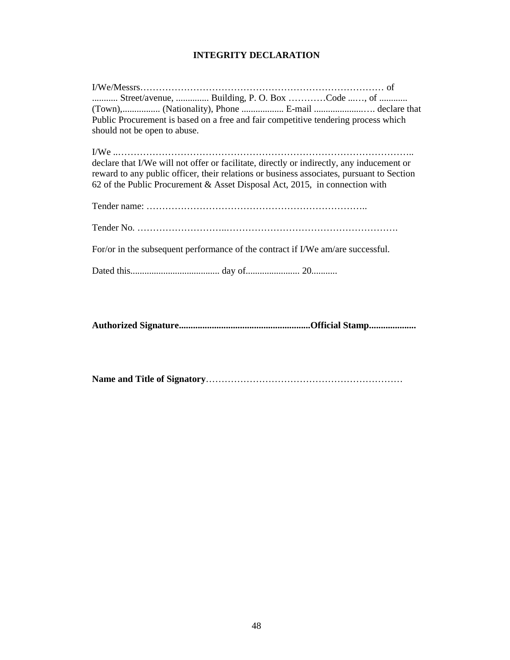# **INTEGRITY DECLARATION**

| Street/avenue,  Building, P.O. Box Code , of                                              |
|-------------------------------------------------------------------------------------------|
| (Town), (Nationality), Phone  E-mail  declare that                                        |
| Public Procurement is based on a free and fair competitive tendering process which        |
| should not be open to abuse.                                                              |
|                                                                                           |
|                                                                                           |
| declare that I/We will not offer or facilitate, directly or indirectly, any inducement or |
| reward to any public officer, their relations or business associates, pursuant to Section |
| 62 of the Public Procurement & Asset Disposal Act, 2015, in connection with               |
|                                                                                           |
|                                                                                           |
|                                                                                           |
|                                                                                           |
| For/or in the subsequent performance of the contract if I/We am/are successful.           |
|                                                                                           |
|                                                                                           |
|                                                                                           |

**Authorized Signature........................................................Official Stamp....................** 

**Name and Title of Signatory**………………………………………………………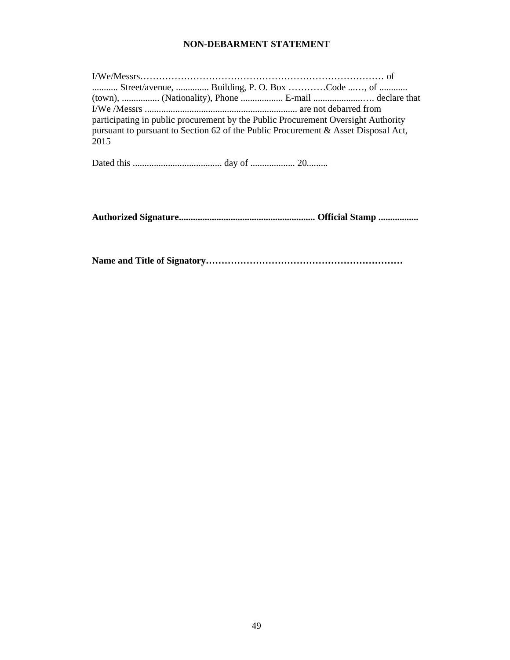## **NON-DEBARMENT STATEMENT**

| Street/avenue,  Building, P. O. Box Code , of                                      |  |  |  |  |
|------------------------------------------------------------------------------------|--|--|--|--|
| (town),  (Nationality), Phone  E-mail  declare that                                |  |  |  |  |
|                                                                                    |  |  |  |  |
| participating in public procurement by the Public Procurement Oversight Authority  |  |  |  |  |
| pursuant to pursuant to Section 62 of the Public Procurement & Asset Disposal Act, |  |  |  |  |
| 2015                                                                               |  |  |  |  |

Dated this ...................................... day of ................... 20.........

**Authorized Signature.......................................................... Official Stamp .................** 

**Name and Title of Signatory………………………………………………………**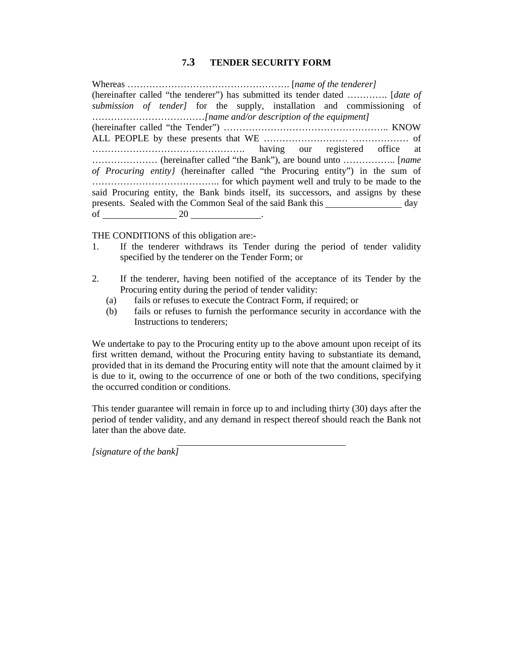## **7.3 TENDER SECURITY FORM**

Whereas ……………………………………………. [*name of the tenderer]*  (hereinafter called "the tenderer") has submitted its tender dated …………. [*date of submission of tender]* for the supply, installation and commissioning of ………………………………*[name and/or description of the equipment]* (hereinafter called "the Tender") …………………………………………….. KNOW ALL PEOPLE by these presents that WE ……………………… ……………… of …………………………………………. having our registered office at ………………… (hereinafter called "the Bank"), are bound unto …………….. [*name of Procuring entity}* (hereinafter called "the Procuring entity") in the sum of ………………………………….. for which payment well and truly to be made to the said Procuring entity, the Bank binds itself, its successors, and assigns by these presents. Sealed with the Common Seal of the said Bank this day of 20 .

THE CONDITIONS of this obligation are:-

- 1. If the tenderer withdraws its Tender during the period of tender validity specified by the tenderer on the Tender Form; or
- 2. If the tenderer, having been notified of the acceptance of its Tender by the Procuring entity during the period of tender validity:
	- (a) fails or refuses to execute the Contract Form, if required; or
	- (b) fails or refuses to furnish the performance security in accordance with the Instructions to tenderers;

We undertake to pay to the Procuring entity up to the above amount upon receipt of its first written demand, without the Procuring entity having to substantiate its demand, provided that in its demand the Procuring entity will note that the amount claimed by it is due to it, owing to the occurrence of one or both of the two conditions, specifying the occurred condition or conditions.

This tender guarantee will remain in force up to and including thirty (30) days after the period of tender validity, and any demand in respect thereof should reach the Bank not later than the above date.

*[signature of the bank]*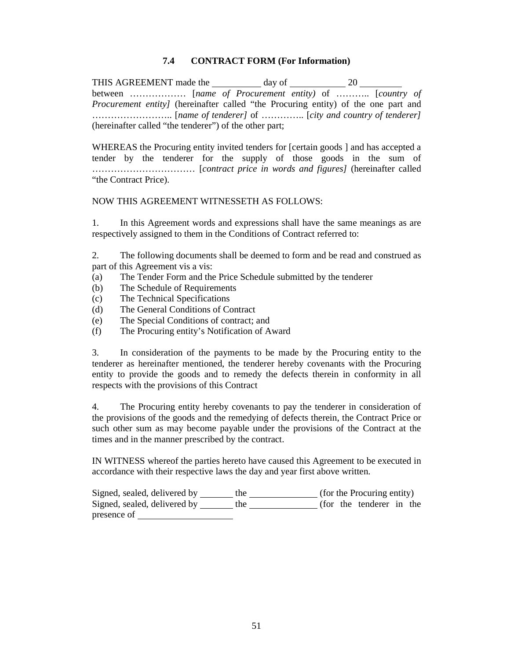## **7.4 CONTRACT FORM (For Information)**

THIS AGREEMENT made the day of 20 between ……………… [*name of Procurement entity)* of ……….. [*country of Procurement entity]* (hereinafter called "the Procuring entity) of the one part and …………………….. [*name of tenderer]* of ………….. [*city and country of tenderer]* (hereinafter called "the tenderer") of the other part;

WHEREAS the Procuring entity invited tenders for [certain goods ] and has accepted a tender by the tenderer for the supply of those goods in the sum of …………………………… [*contract price in words and figures]* (hereinafter called "the Contract Price).

#### NOW THIS AGREEMENT WITNESSETH AS FOLLOWS:

1. In this Agreement words and expressions shall have the same meanings as are respectively assigned to them in the Conditions of Contract referred to:

2. The following documents shall be deemed to form and be read and construed as part of this Agreement vis a vis:

- (a) The Tender Form and the Price Schedule submitted by the tenderer
- (b) The Schedule of Requirements
- (c) The Technical Specifications
- (d) The General Conditions of Contract
- (e) The Special Conditions of contract; and
- (f) The Procuring entity's Notification of Award

3. In consideration of the payments to be made by the Procuring entity to the tenderer as hereinafter mentioned, the tenderer hereby covenants with the Procuring entity to provide the goods and to remedy the defects therein in conformity in all respects with the provisions of this Contract

4. The Procuring entity hereby covenants to pay the tenderer in consideration of the provisions of the goods and the remedying of defects therein, the Contract Price or such other sum as may become payable under the provisions of the Contract at the times and in the manner prescribed by the contract.

IN WITNESS whereof the parties hereto have caused this Agreement to be executed in accordance with their respective laws the day and year first above written.

Signed, sealed, delivered by \_\_\_\_\_\_ the \_\_\_\_\_\_\_\_\_\_\_\_\_ (for the Procuring entity) Signed, sealed, delivered by \_\_\_\_\_\_ the \_\_\_\_\_\_\_\_\_\_\_\_\_ (for the tenderer in the presence of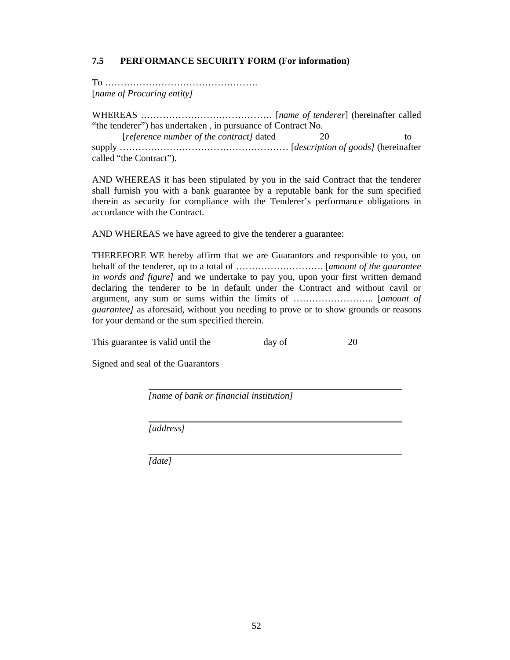## **7.5 PERFORMANCE SECURITY FORM (For information)**

To …………………………………………. [*name of Procuring entity]* 

WHEREAS …………………………………… [*name of tenderer*] (hereinafter called "the tenderer") has undertaken , in pursuance of Contract No. **Figure 1.1** [*reference number of the contract]* dated 20 to to supply ……………………………………………… [*description of goods]* (hereinafter called "the Contract").

AND WHEREAS it has been stipulated by you in the said Contract that the tenderer shall furnish you with a bank guarantee by a reputable bank for the sum specified therein as security for compliance with the Tenderer's performance obligations in accordance with the Contract.

AND WHEREAS we have agreed to give the tenderer a guarantee:

THEREFORE WE hereby affirm that we are Guarantors and responsible to you, on behalf of the tenderer, up to a total of ………………………. [*amount of the guarantee in words and figure]* and we undertake to pay you, upon your first written demand declaring the tenderer to be in default under the Contract and without cavil or argument, any sum or sums within the limits of …………………….. [*amount of guarantee]* as aforesaid, without you needing to prove or to show grounds or reasons for your demand or the sum specified therein.

This guarantee is valid until the  $\frac{1}{20}$  day of  $\frac{20}{20}$ 

Signed and seal of the Guarantors

*[name of bank or financial institution]* 

*[address]* 

*[date]*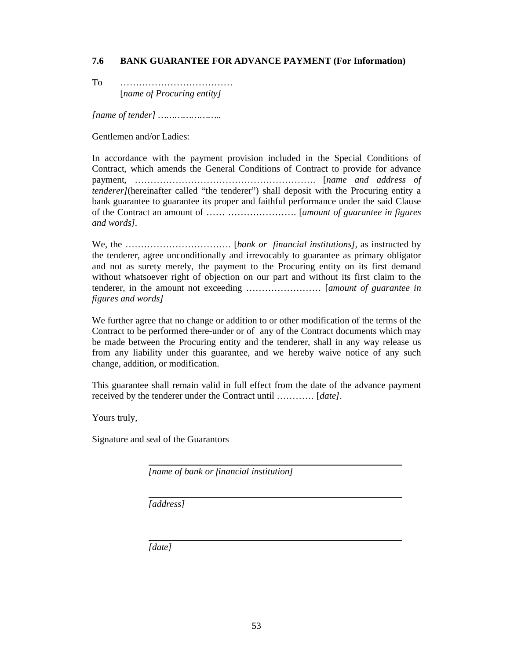#### **7.6 BANK GUARANTEE FOR ADVANCE PAYMENT (For Information)**

To ……………………………… [*name of Procuring entity]* 

*[name of tender] …………………..* 

Gentlemen and/or Ladies:

In accordance with the payment provision included in the Special Conditions of Contract, which amends the General Conditions of Contract to provide for advance payment, …………………………………………………. [*name and address of tenderer]*(hereinafter called "the tenderer") shall deposit with the Procuring entity a bank guarantee to guarantee its proper and faithful performance under the said Clause of the Contract an amount of …… …………………. [*amount of guarantee in figures and words].* 

We, the ……………………………. [*bank or financial institutions]*, as instructed by the tenderer, agree unconditionally and irrevocably to guarantee as primary obligator and not as surety merely, the payment to the Procuring entity on its first demand without whatsoever right of objection on our part and without its first claim to the tenderer, in the amount not exceeding …………………… [*amount of guarantee in figures and words]* 

We further agree that no change or addition to or other modification of the terms of the Contract to be performed there-under or of any of the Contract documents which may be made between the Procuring entity and the tenderer, shall in any way release us from any liability under this guarantee, and we hereby waive notice of any such change, addition, or modification.

This guarantee shall remain valid in full effect from the date of the advance payment received by the tenderer under the Contract until ………… [*date]*.

Yours truly,

Signature and seal of the Guarantors

*[name of bank or financial institution]* 

*[address]* 

 *[date]*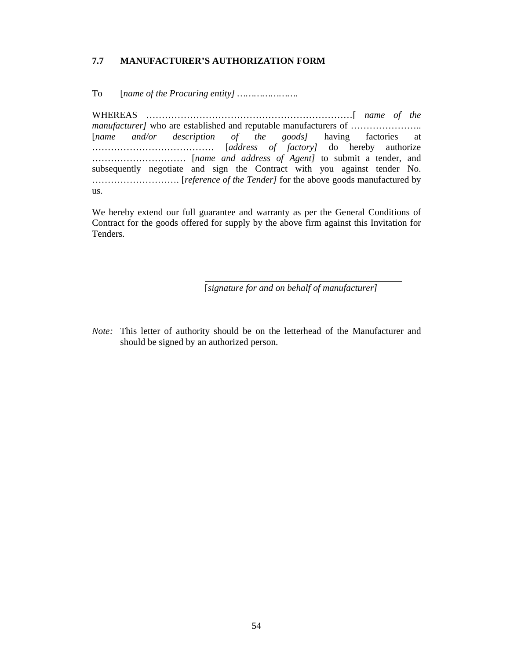## **7.7 MANUFACTURER'S AUTHORIZATION FORM**

To [*name of the Procuring entity] ………………….* 

WHEREAS …………………………………………………………[ *name of the manufacturer]* who are established and reputable manufacturers of ………………….. [*name and/or description of the goods]* having factories at ………………………………… [*address of factory]* do hereby authorize ………………………… [*name and address of Agent]* to submit a tender, and subsequently negotiate and sign the Contract with you against tender No. ………………………. [*reference of the Tender]* for the above goods manufactured by us.

We hereby extend our full guarantee and warranty as per the General Conditions of Contract for the goods offered for supply by the above firm against this Invitation for Tenders.

[*signature for and on behalf of manufacturer]* 

*Note:* This letter of authority should be on the letterhead of the Manufacturer and should be signed by an authorized person.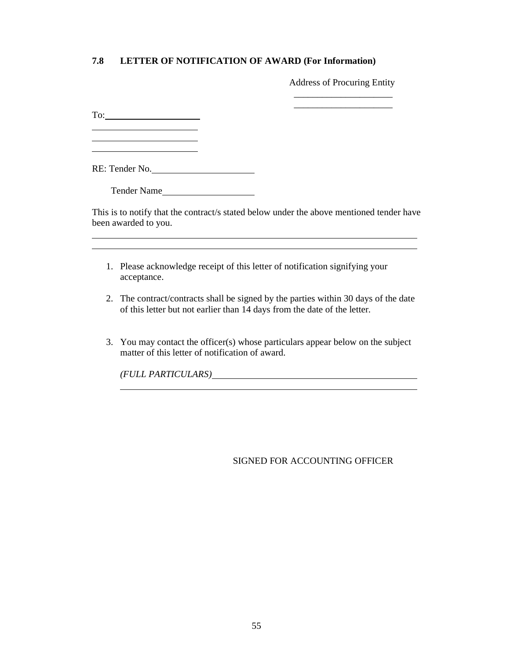## **7.8 LETTER OF NOTIFICATION OF AWARD (For Information)**

\_\_\_\_\_\_\_\_\_\_\_\_\_\_\_\_\_\_\_\_\_

Address of Procuring Entity

To: 

 $\overline{a}$ 

 $\overline{a}$ 

RE: Tender No.

Tender Name

This is to notify that the contract/s stated below under the above mentioned tender have been awarded to you.

- 1. Please acknowledge receipt of this letter of notification signifying your acceptance.
- 2. The contract/contracts shall be signed by the parties within 30 days of the date of this letter but not earlier than 14 days from the date of the letter.
- 3. You may contact the officer(s) whose particulars appear below on the subject matter of this letter of notification of award.

*(FULL PARTICULARS)* 

SIGNED FOR ACCOUNTING OFFICER